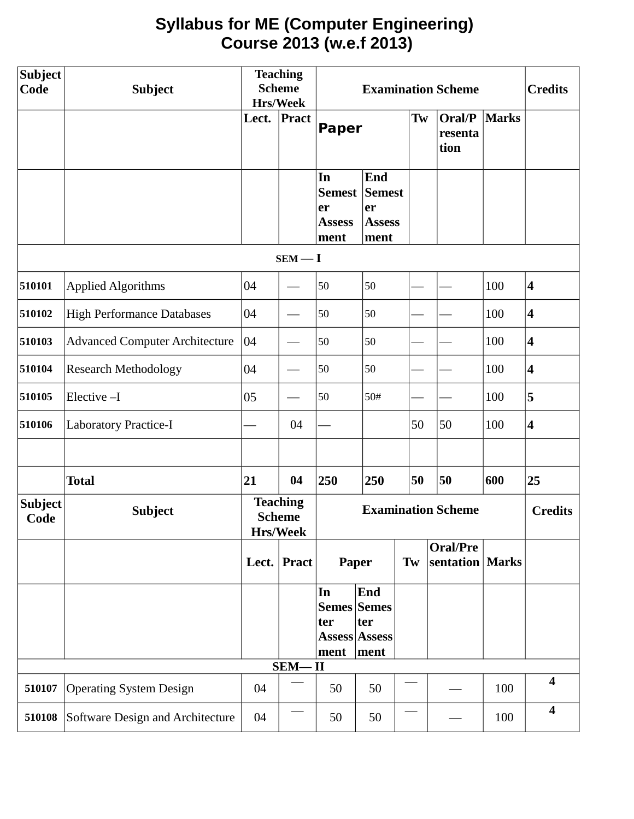# **Syllabus for ME (Computer Engineering) Course 2013 (w.e.f 2013)**

| <b>Subject</b><br>Code | <b>Subject</b>                        | <b>Teaching</b><br><b>Scheme</b> |                                                     | <b>Examination Scheme</b>                     |                                                     |    |                              | <b>Credits</b> |                         |
|------------------------|---------------------------------------|----------------------------------|-----------------------------------------------------|-----------------------------------------------|-----------------------------------------------------|----|------------------------------|----------------|-------------------------|
|                        |                                       | Lect.                            | Hrs/Week<br>Pract                                   | <b>Paper</b>                                  |                                                     | Tw | Oral/P<br>resenta<br>tion    | Marks          |                         |
|                        |                                       |                                  |                                                     | In<br>Semest  <br>er<br><b>Assess</b><br>ment | End<br><b>Semest</b><br>er<br><b>Assess</b><br>ment |    |                              |                |                         |
|                        |                                       |                                  | $SEM - I$                                           |                                               |                                                     |    |                              |                |                         |
| 510101                 | <b>Applied Algorithms</b>             | 04                               |                                                     | 50                                            | 50                                                  |    |                              | 100            | $\overline{\mathbf{4}}$ |
| 510102                 | <b>High Performance Databases</b>     | 04                               |                                                     | 50                                            | 50                                                  |    |                              | 100            | $\overline{\mathbf{4}}$ |
| 510103                 | <b>Advanced Computer Architecture</b> | 04                               |                                                     | 50                                            | 50                                                  |    |                              | 100            | $\overline{\mathbf{4}}$ |
| 510104                 | <b>Research Methodology</b>           | 04                               |                                                     | 50                                            | 50                                                  |    |                              | 100            | $\overline{\mathbf{4}}$ |
| 510105                 | Elective-I                            | 05                               |                                                     | 50                                            | 50#                                                 |    |                              | 100            | 5                       |
| 510106                 | Laboratory Practice-I                 |                                  | 04                                                  |                                               |                                                     | 50 | 50                           | 100            | $\overline{\mathbf{4}}$ |
|                        |                                       |                                  |                                                     |                                               |                                                     |    |                              |                |                         |
|                        | <b>Total</b>                          | 21                               | 04                                                  | 250                                           | 250                                                 | 50 | 50                           | 600            | 25                      |
| <b>Subject</b><br>Code | <b>Subject</b>                        |                                  | <b>Teaching</b><br><b>Scheme</b><br><b>Hrs/Week</b> | <b>Examination Scheme</b>                     |                                                     |    |                              | <b>Credits</b> |                         |
|                        |                                       |                                  | Lect. Pract                                         |                                               | Paper<br>Tw                                         |    | <b>Oral/Pre</b><br>sentation | <b>Marks</b>   |                         |
|                        |                                       |                                  |                                                     | In<br><b>Semes Semes</b><br>ter<br>ment       | End<br>ter<br><b>Assess Assess</b><br>ment          |    |                              |                |                         |
|                        |                                       |                                  | $SEM - II$                                          |                                               |                                                     |    |                              |                |                         |
| 510107                 | <b>Operating System Design</b>        | 04                               |                                                     | 50                                            | 50                                                  |    |                              | 100            | $\overline{\mathbf{4}}$ |
| 510108                 | Software Design and Architecture      | 04                               |                                                     | 50                                            | 50                                                  |    |                              | 100            | $\overline{\mathbf{4}}$ |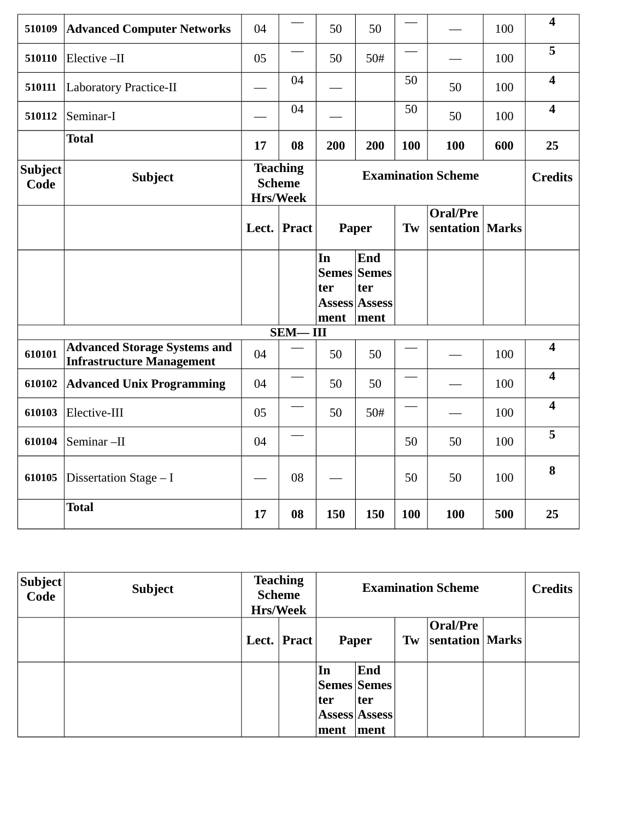| 510109                 | <b>Advanced Computer Networks</b>                                       | 04            |                                                                           | 50                | 50                                                        |     |                       | 100            | $\overline{\mathbf{4}}$ |
|------------------------|-------------------------------------------------------------------------|---------------|---------------------------------------------------------------------------|-------------------|-----------------------------------------------------------|-----|-----------------------|----------------|-------------------------|
| 510110                 | Elective-II                                                             | 05            |                                                                           | 50                | 50#                                                       |     |                       | 100            | 5                       |
| 510111                 | <b>Laboratory Practice-II</b>                                           |               | 04                                                                        |                   |                                                           | 50  | 50                    | 100            | $\overline{\mathbf{4}}$ |
| 510112                 | Seminar-I                                                               |               | 04                                                                        |                   |                                                           | 50  | 50                    | 100            | $\overline{\mathbf{4}}$ |
|                        | <b>Total</b>                                                            | 17            | 08                                                                        | 200               | 200                                                       | 100 | 100                   | 600            | 25                      |
| <b>Subject</b><br>Code | <b>Subject</b>                                                          |               | <b>Teaching</b><br><b>Examination Scheme</b><br><b>Scheme</b><br>Hrs/Week |                   |                                                           |     |                       | <b>Credits</b> |                         |
|                        |                                                                         | Lect. $\vert$ | <b>Pract</b>                                                              |                   | Paper                                                     | Tw  | Oral/Pre<br>sentation | <b>Marks</b>   |                         |
|                        |                                                                         |               |                                                                           | In<br>ter<br>ment | End<br><b>Semes Semes</b><br>ter<br>Assess Assess<br>ment |     |                       |                |                         |
|                        |                                                                         |               | <b>SEM-III</b>                                                            |                   |                                                           |     |                       |                |                         |
| 610101                 | <b>Advanced Storage Systems and</b><br><b>Infrastructure Management</b> | 04            |                                                                           | 50                | 50                                                        |     |                       | 100            | $\overline{\mathbf{4}}$ |
| 610102                 | <b>Advanced Unix Programming</b>                                        | 04            |                                                                           | 50                | 50                                                        |     |                       | 100            | $\overline{\mathbf{4}}$ |
| 610103                 | Elective-III                                                            | 05            |                                                                           | 50                | 50#                                                       |     |                       | 100            | $\overline{\mathbf{4}}$ |
| 610104                 | Seminar-II                                                              | 04            |                                                                           |                   |                                                           | 50  | 50                    | 100            | 5                       |
| 610105                 | Dissertation Stage - I                                                  |               | 08                                                                        |                   |                                                           | 50  | 50                    | 100            | 8                       |
|                        | <b>Total</b>                                                            | 17            | 08                                                                        | 150               | 150                                                       | 100 | 100                   | 500            | 25                      |

| $ \mathsf{Subject} $<br>Code | <b>Subject</b> | <b>Teaching</b><br><b>Scheme</b><br><b>Hrs/Week</b> |       | <b>Examination Scheme</b> |                                                      |    |                               |  | <b>Credits</b> |
|------------------------------|----------------|-----------------------------------------------------|-------|---------------------------|------------------------------------------------------|----|-------------------------------|--|----------------|
|                              |                | Lect.                                               | Pract |                           | Paper                                                | Tw | Oral/Pre<br>sentation   Marks |  |                |
|                              |                |                                                     |       | In<br> ter<br>ment        | End<br> Semes Semes <br>ter<br>Assess Assess<br>ment |    |                               |  |                |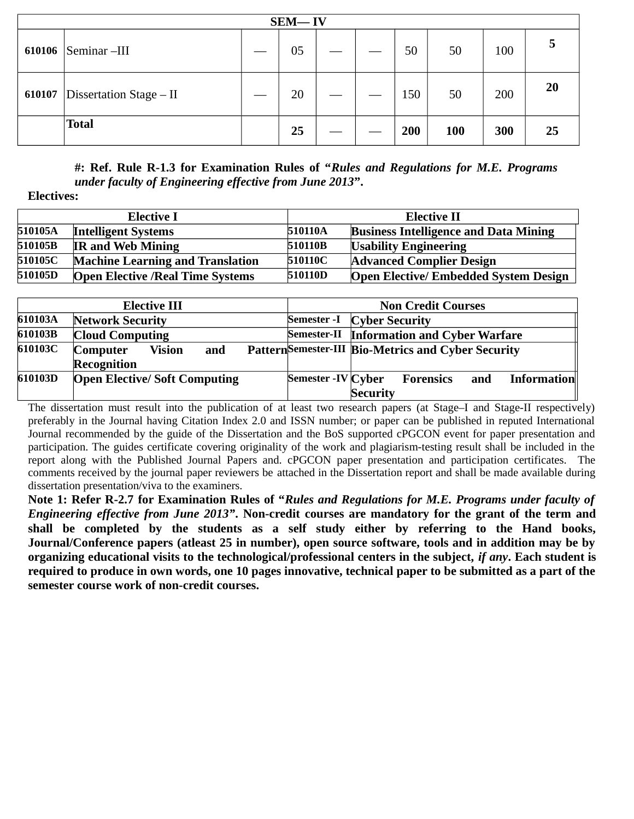| $SEM - IV$ |                           |  |    |  |  |     |     |     |    |
|------------|---------------------------|--|----|--|--|-----|-----|-----|----|
| 610106     | Seminar –III              |  | 05 |  |  | 50  | 50  | 100 |    |
| 610107     | Dissertation Stage $-$ II |  | 20 |  |  | 150 | 50  | 200 | 20 |
|            | <b>Total</b>              |  | 25 |  |  | 200 | 100 | 300 | 25 |

**#: Ref. Rule R-1.3 for Examination Rules of "***Rules and Regulations for M.E. Programs under faculty of Engineering effective from June 2013***".** 

#### **Electives:**

|         | <b>Elective I</b>                       | <b>Elective II</b> |                                              |  |  |
|---------|-----------------------------------------|--------------------|----------------------------------------------|--|--|
| 510105A | <b>Intelligent Systems</b>              | 510110A            | <b>Business Intelligence and Data Mining</b> |  |  |
| 510105B | <b>IR and Web Mining</b>                | 510110B            | <b>Usability Engineering</b>                 |  |  |
| 510105C | <b>Machine Learning and Translation</b> | 510110C            | <b>Advanced Complier Design</b>              |  |  |
| 510105D | <b>Open Elective /Real Time Systems</b> | 510110D            | <b>Open Elective/ Embedded System Design</b> |  |  |

|         | <b>Elective III</b>                 |                    |                       | <b>Non Credit Courses</b>                           |     |                    |
|---------|-------------------------------------|--------------------|-----------------------|-----------------------------------------------------|-----|--------------------|
| 610103A | <b>Network Security</b>             | <b>Semester -I</b> | <b>Cyber Security</b> |                                                     |     |                    |
| 610103B | <b>Cloud Computing</b>              | <b>Semester-II</b> |                       | <b>Information and Cyber Warfare</b>                |     |                    |
| 610103C | <b>Vision</b><br>and<br>Computer    |                    |                       | Pattern Semester-III Bio-Metrics and Cyber Security |     |                    |
|         | <b>Recognition</b>                  |                    |                       |                                                     |     |                    |
| 610103D | <b>Open Elective/Soft Computing</b> | Semester -IV Cyber |                       | Forensics                                           | and | <b>Information</b> |
|         |                                     |                    | <b>Security</b>       |                                                     |     |                    |

The dissertation must result into the publication of at least two research papers (at Stage–I and Stage-II respectively) preferably in the Journal having Citation Index 2.0 and ISSN number; or paper can be published in reputed International Journal recommended by the guide of the Dissertation and the BoS supported cPGCON event for paper presentation and participation. The guides certificate covering originality of the work and plagiarism-testing result shall be included in the report along with the Published Journal Papers and. cPGCON paper presentation and participation certificates. The comments received by the journal paper reviewers be attached in the Dissertation report and shall be made available during dissertation presentation/viva to the examiners.

**Note 1: Refer R-2.7 for Examination Rules of "***Rules and Regulations for M.E. Programs under faculty of Engineering effective from June 2013"***. Non-credit courses are mandatory for the grant of the term and shall be completed by the students as a self study either by referring to the Hand books, Journal/Conference papers (atleast 25 in number), open source software, tools and in addition may be by organizing educational visits to the technological/professional centers in the subject,** *if any***. Each student is required to produce in own words, one 10 pages innovative, technical paper to be submitted as a part of the semester course work of non-credit courses.**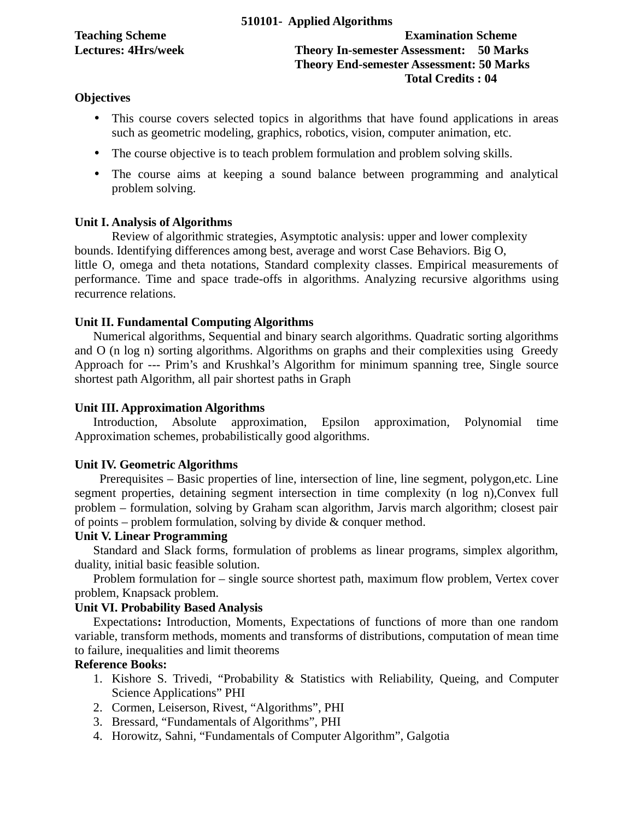**Teaching Scheme Examination Scheme Lectures: 4Hrs/week Theory In-semester Assessment: 50 Marks Theory End-semester Assessment: 50 Marks Total Credits : 04**

## **Objectives**

- This course covers selected topics in algorithms that have found applications in areas such as geometric modeling, graphics, robotics, vision, computer animation, etc.
- The course objective is to teach problem formulation and problem solving skills.
- The course aims at keeping a sound balance between programming and analytical problem solving.

## **Unit I. Analysis of Algorithms**

Review of algorithmic strategies, Asymptotic analysis: upper and lower complexity bounds. Identifying differences among best, average and worst Case Behaviors. Big O, little O, omega and theta notations, Standard complexity classes. Empirical measurements of performance. Time and space trade-offs in algorithms. Analyzing recursive algorithms using recurrence relations.

## **Unit II. Fundamental Computing Algorithms**

Numerical algorithms, Sequential and binary search algorithms. Quadratic sorting algorithms and O (n log n) sorting algorithms. Algorithms on graphs and their complexities using Greedy Approach for --- Prim's and Krushkal's Algorithm for minimum spanning tree, Single source shortest path Algorithm, all pair shortest paths in Graph

## **Unit III. Approximation Algorithms**

Introduction, Absolute approximation, Epsilon approximation, Polynomial time Approximation schemes, probabilistically good algorithms.

## **Unit IV. Geometric Algorithms**

 Prerequisites – Basic properties of line, intersection of line, line segment, polygon,etc. Line segment properties, detaining segment intersection in time complexity (n log n),Convex full problem – formulation, solving by Graham scan algorithm, Jarvis march algorithm; closest pair of points – problem formulation, solving by divide & conquer method.

## **Unit V. Linear Programming**

Standard and Slack forms, formulation of problems as linear programs, simplex algorithm, duality, initial basic feasible solution.

Problem formulation for – single source shortest path, maximum flow problem, Vertex cover problem, Knapsack problem.

## **Unit VI. Probability Based Analysis**

Expectations**:** Introduction, Moments, Expectations of functions of more than one random variable, transform methods, moments and transforms of distributions, computation of mean time to failure, inequalities and limit theorems

## **Reference Books:**

- 1. Kishore S. Trivedi, "Probability & Statistics with Reliability, Queing, and Computer Science Applications" PHI
- 2. Cormen, Leiserson, Rivest, "Algorithms", PHI
- 3. Bressard, "Fundamentals of Algorithms", PHI
- 4. Horowitz, Sahni, "Fundamentals of Computer Algorithm", Galgotia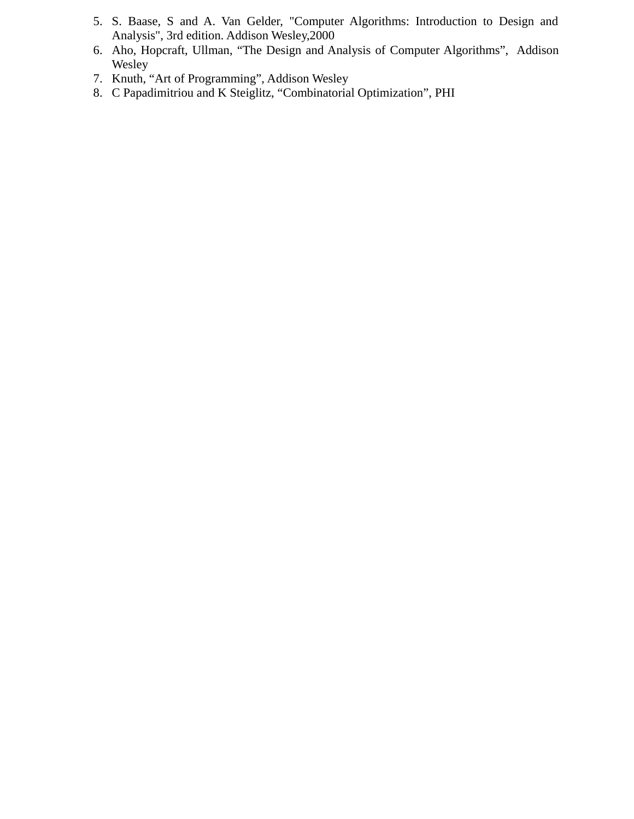- 5. S. Baase, S and A. Van Gelder, "Computer Algorithms: Introduction to Design and Analysis", 3rd edition. Addison Wesley,2000
- 6. Aho, Hopcraft, Ullman, "The Design and Analysis of Computer Algorithms", Addison **Wesley**
- 7. Knuth, "Art of Programming", Addison Wesley
- 8. C Papadimitriou and K Steiglitz, "Combinatorial Optimization", PHI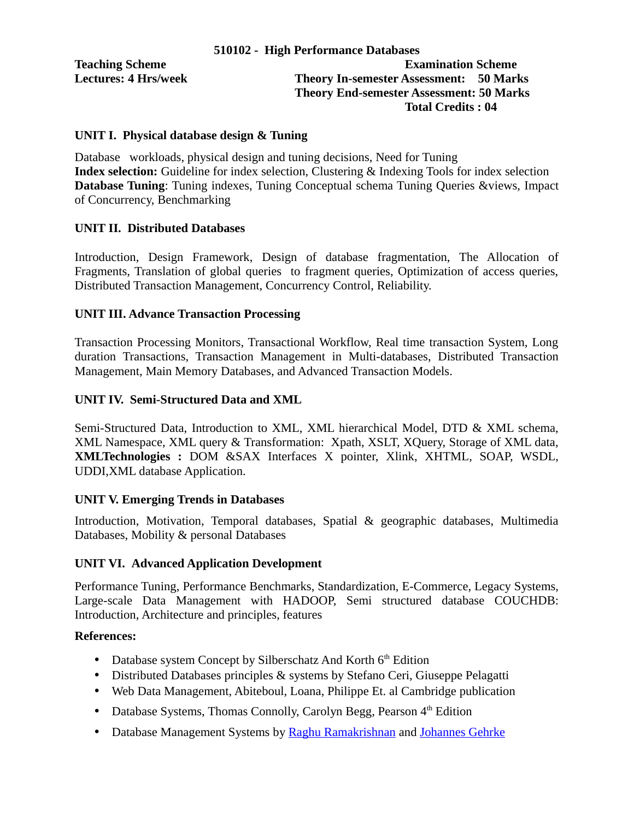#### **UNIT I. Physical database design & Tuning**

Database workloads, physical design and tuning decisions, Need for Tuning **Index selection:** Guideline for index selection, Clustering & Indexing Tools for index selection **Database Tuning**: Tuning indexes, Tuning Conceptual schema Tuning Queries &views, Impact of Concurrency, Benchmarking

## **UNIT II. Distributed Databases**

Introduction, Design Framework, Design of database fragmentation, The Allocation of Fragments, Translation of global queries to fragment queries, Optimization of access queries, Distributed Transaction Management, Concurrency Control, Reliability.

#### **UNIT III. Advance Transaction Processing**

Transaction Processing Monitors, Transactional Workflow, Real time transaction System, Long duration Transactions, Transaction Management in Multi-databases, Distributed Transaction Management, Main Memory Databases, and Advanced Transaction Models.

## **UNIT IV. Semi-Structured Data and XML**

Semi-Structured Data, Introduction to XML, XML hierarchical Model, DTD & XML schema, XML Namespace, XML query & Transformation: Xpath, XSLT, XQuery, Storage of XML data, **XMLTechnologies :** DOM &SAX Interfaces X pointer, Xlink, XHTML, SOAP, WSDL, UDDI,XML database Application.

#### **UNIT V. Emerging Trends in Databases**

Introduction, Motivation, Temporal databases, Spatial & geographic databases, Multimedia Databases, Mobility & personal Databases

#### **UNIT VI. Advanced Application Development**

Performance Tuning, Performance Benchmarks, Standardization, E-Commerce, Legacy Systems, Large-scale Data Management with HADOOP, Semi structured database COUCHDB: Introduction, Architecture and principles, features

#### **References:**

- Database system Concept by Silberschatz And Korth  $6<sup>th</sup>$  Edition
- Distributed Databases principles & systems by Stefano Ceri, Giuseppe Pelagatti
- Web Data Management, Abiteboul, Loana, Philippe Et. al Cambridge publication
- Database Systems, Thomas Connolly, Carolyn Begg, Pearson  $4<sup>th</sup>$  Edition
- Database Management Systems by [Raghu Ramakrishnan](http://www.cs.wisc.edu/~raghu) and [Johannes Gehrke](http://www.cs.cornell.edu/johannes)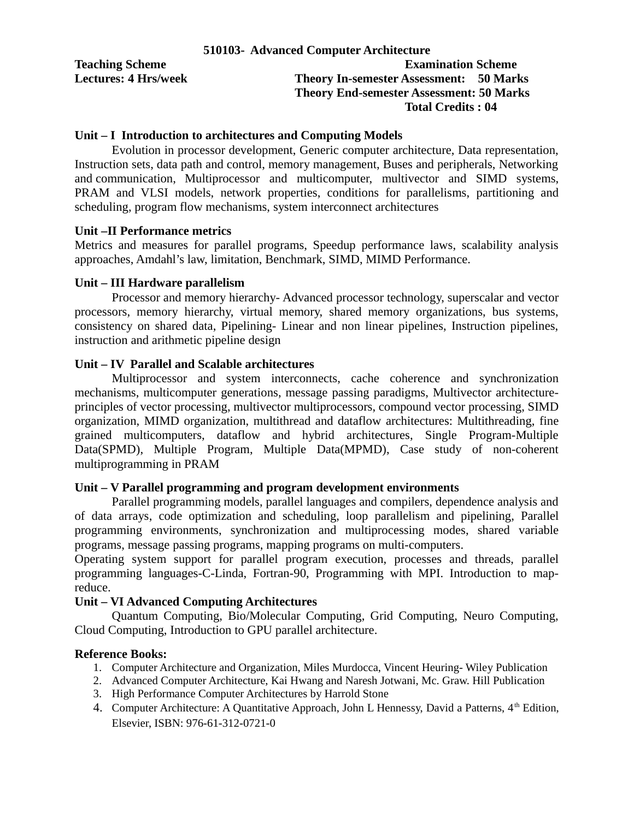|                             | 510103- Advanced Computer Architecture          |
|-----------------------------|-------------------------------------------------|
| <b>Teaching Scheme</b>      | <b>Examination Scheme</b>                       |
| <b>Lectures: 4 Hrs/week</b> | <b>Theory In-semester Assessment: 50 Marks</b>  |
|                             | <b>Theory End-semester Assessment: 50 Marks</b> |
|                             | <b>Total Credits: 04</b>                        |

#### **Unit – I Introduction to architectures and Computing Models**

Evolution in processor development, Generic computer architecture, Data representation, Instruction sets, data path and control, memory management, Buses and peripherals, Networking and communication, Multiprocessor and multicomputer, multivector and SIMD systems, PRAM and VLSI models, network properties, conditions for parallelisms, partitioning and scheduling, program flow mechanisms, system interconnect architectures

#### **Unit –II Performance metrics**

Metrics and measures for parallel programs, Speedup performance laws, scalability analysis approaches, Amdahl's law, limitation, Benchmark, SIMD, MIMD Performance.

#### **Unit – III Hardware parallelism**

Processor and memory hierarchy- Advanced processor technology, superscalar and vector processors, memory hierarchy, virtual memory, shared memory organizations, bus systems, consistency on shared data, Pipelining- Linear and non linear pipelines, Instruction pipelines, instruction and arithmetic pipeline design

## **Unit – IV Parallel and Scalable architectures**

Multiprocessor and system interconnects, cache coherence and synchronization mechanisms, multicomputer generations, message passing paradigms, Multivector architectureprinciples of vector processing, multivector multiprocessors, compound vector processing, SIMD organization, MIMD organization, multithread and dataflow architectures: Multithreading, fine grained multicomputers, dataflow and hybrid architectures, Single Program-Multiple Data(SPMD), Multiple Program, Multiple Data(MPMD), Case study of non-coherent multiprogramming in PRAM

#### **Unit – V Parallel programming and program development environments**

Parallel programming models, parallel languages and compilers, dependence analysis and of data arrays, code optimization and scheduling, loop parallelism and pipelining, Parallel programming environments, synchronization and multiprocessing modes, shared variable programs, message passing programs, mapping programs on multi-computers.

Operating system support for parallel program execution, processes and threads, parallel programming languages-C-Linda, Fortran-90, Programming with MPI. Introduction to mapreduce.

## **Unit – VI Advanced Computing Architectures**

Quantum Computing, Bio/Molecular Computing, Grid Computing, Neuro Computing, Cloud Computing, Introduction to GPU parallel architecture.

#### **Reference Books:**

- 1. Computer Architecture and Organization, Miles Murdocca, Vincent Heuring- Wiley Publication
- 2. Advanced Computer Architecture, Kai Hwang and Naresh Jotwani, Mc. Graw. Hill Publication
- 3. High Performance Computer Architectures by Harrold Stone
- 4. Computer Architecture: A Quantitative Approach, John L Hennessy, David a Patterns, 4<sup>th</sup> Edition, Elsevier, ISBN: 976-61-312-0721-0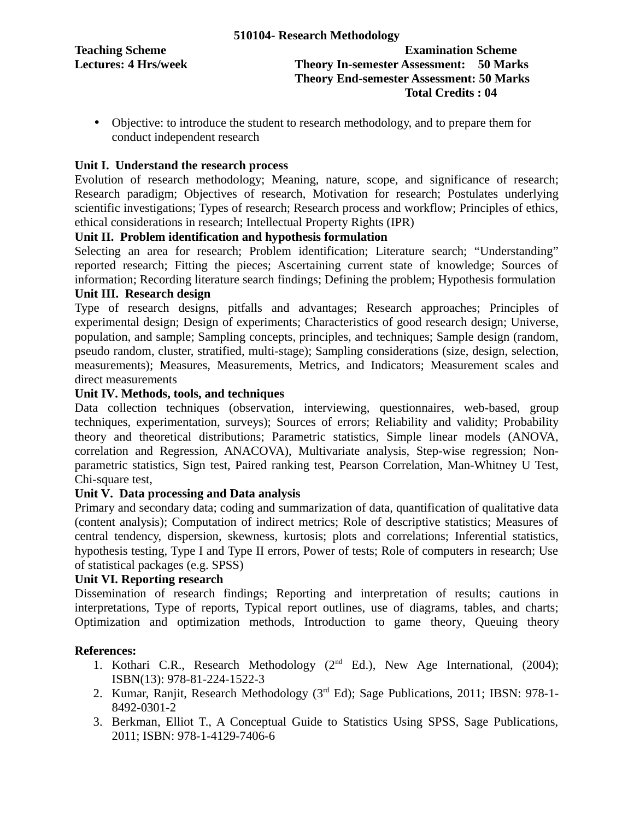**Teaching Scheme Examination Scheme Lectures: 4 Hrs/week Theory In-semester Assessment: 50 Marks Theory End-semester Assessment: 50 Marks Total Credits : 04**

• Objective: to introduce the student to research methodology, and to prepare them for conduct independent research

## **Unit I. Understand the research process**

Evolution of research methodology; Meaning, nature, scope, and significance of research; Research paradigm; Objectives of research, Motivation for research; Postulates underlying scientific investigations; Types of research; Research process and workflow; Principles of ethics, ethical considerations in research; Intellectual Property Rights (IPR)

## **Unit II. Problem identification and hypothesis formulation**

Selecting an area for research; Problem identification; Literature search; "Understanding" reported research; Fitting the pieces; Ascertaining current state of knowledge; Sources of information; Recording literature search findings; Defining the problem; Hypothesis formulation

## **Unit III. Research design**

Type of research designs, pitfalls and advantages; Research approaches; Principles of experimental design; Design of experiments; Characteristics of good research design; Universe, population, and sample; Sampling concepts, principles, and techniques; Sample design (random, pseudo random, cluster, stratified, multi-stage); Sampling considerations (size, design, selection, measurements); Measures, Measurements, Metrics, and Indicators; Measurement scales and direct measurements

## **Unit IV. Methods, tools, and techniques**

Data collection techniques (observation, interviewing, questionnaires, web-based, group techniques, experimentation, surveys); Sources of errors; Reliability and validity; Probability theory and theoretical distributions; Parametric statistics, Simple linear models (ANOVA, correlation and Regression, ANACOVA), Multivariate analysis, Step-wise regression; Nonparametric statistics, Sign test, Paired ranking test, Pearson Correlation, Man-Whitney U Test, Chi-square test,

## **Unit V. Data processing and Data analysis**

Primary and secondary data; coding and summarization of data, quantification of qualitative data (content analysis); Computation of indirect metrics; Role of descriptive statistics; Measures of central tendency, dispersion, skewness, kurtosis; plots and correlations; Inferential statistics, hypothesis testing, Type I and Type II errors, Power of tests; Role of computers in research; Use of statistical packages (e.g. SPSS)

## **Unit VI. Reporting research**

Dissemination of research findings; Reporting and interpretation of results; cautions in interpretations, Type of reports, Typical report outlines, use of diagrams, tables, and charts; Optimization and optimization methods, Introduction to game theory, Queuing theory

## **References:**

- 1. Kothari C.R., Research Methodology (2<sup>nd</sup> Ed.), New Age International, (2004); ISBN(13): 978-81-224-1522-3
- 2. Kumar, Ranjit, Research Methodology (3<sup>rd</sup> Ed); Sage Publications, 2011; IBSN: 978-1-8492-0301-2
- 3. Berkman, Elliot T., A Conceptual Guide to Statistics Using SPSS, Sage Publications, 2011; ISBN: 978-1-4129-7406-6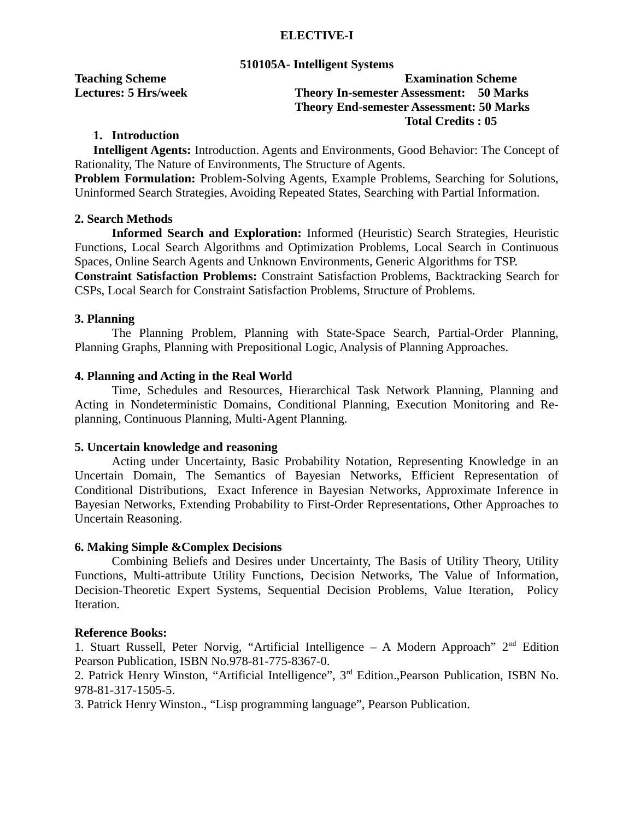## **ELECTIVE-I**

#### **510105A- Intelligent Systems**

## **Teaching Scheme Examination Scheme Lectures: 5 Hrs/week Theory In-semester Assessment: 50 Marks Theory End-semester Assessment: 50 Marks Total Credits : 05**

## **1. Introduction**

**Intelligent Agents:** Introduction. Agents and Environments, Good Behavior: The Concept of Rationality, The Nature of Environments, The Structure of Agents.

**Problem Formulation:** Problem-Solving Agents, Example Problems, Searching for Solutions, Uninformed Search Strategies, Avoiding Repeated States, Searching with Partial Information.

## **2. Search Methods**

**Informed Search and Exploration:** Informed (Heuristic) Search Strategies, Heuristic Functions, Local Search Algorithms and Optimization Problems, Local Search in Continuous Spaces, Online Search Agents and Unknown Environments, Generic Algorithms for TSP. **Constraint Satisfaction Problems:** Constraint Satisfaction Problems, Backtracking Search for CSPs, Local Search for Constraint Satisfaction Problems, Structure of Problems.

## **3. Planning**

The Planning Problem, Planning with State-Space Search, Partial-Order Planning, Planning Graphs, Planning with Prepositional Logic, Analysis of Planning Approaches.

#### **4. Planning and Acting in the Real World**

Time, Schedules and Resources, Hierarchical Task Network Planning, Planning and Acting in Nondeterministic Domains, Conditional Planning, Execution Monitoring and Replanning, Continuous Planning, Multi-Agent Planning.

#### **5. Uncertain knowledge and reasoning**

Acting under Uncertainty, Basic Probability Notation, Representing Knowledge in an Uncertain Domain, The Semantics of Bayesian Networks, Efficient Representation of Conditional Distributions, Exact Inference in Bayesian Networks, Approximate Inference in Bayesian Networks, Extending Probability to First-Order Representations, Other Approaches to Uncertain Reasoning.

#### **6. Making Simple &Complex Decisions**

Combining Beliefs and Desires under Uncertainty, The Basis of Utility Theory, Utility Functions, Multi-attribute Utility Functions, Decision Networks, The Value of Information, Decision-Theoretic Expert Systems, Sequential Decision Problems, Value Iteration, Policy Iteration.

#### **Reference Books:**

1. Stuart Russell, Peter Norvig, "Artificial Intelligence  $-$  A Modern Approach" 2<sup>nd</sup> Edition Pearson Publication, ISBN No.978-81-775-8367-0.

2. Patrick Henry Winston, "Artificial Intelligence", 3<sup>rd</sup> Edition., Pearson Publication, ISBN No. 978-81-317-1505-5.

3. Patrick Henry Winston., "Lisp programming language", Pearson Publication.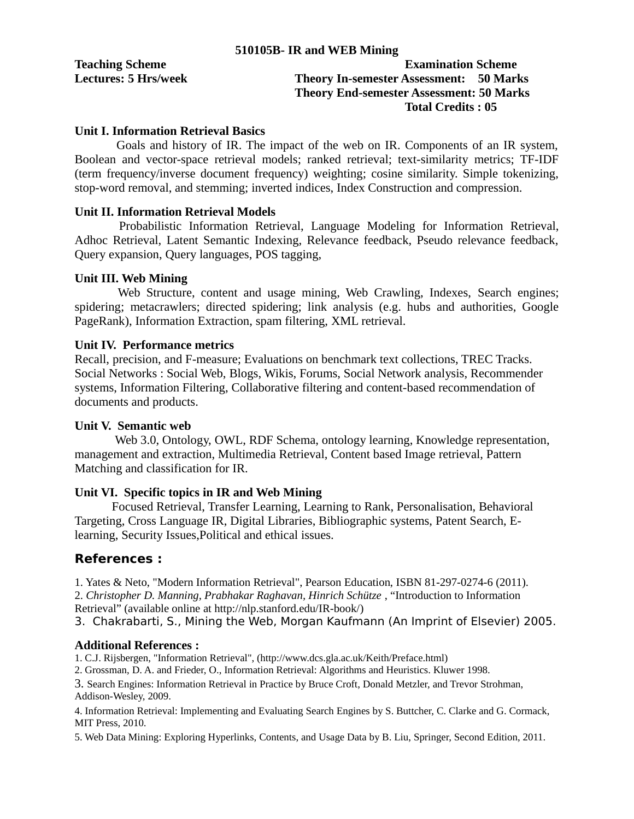| <b>Teaching Scheme</b>      | <b>Examination Scheme</b>                       |
|-----------------------------|-------------------------------------------------|
| <b>Lectures: 5 Hrs/week</b> | <b>Theory In-semester Assessment: 50 Marks</b>  |
|                             | <b>Theory End-semester Assessment: 50 Marks</b> |

# **Total Credits : 05**

## **Unit I. Information Retrieval Basics**

Goals and history of IR. The impact of the web on IR. Components of an IR system, Boolean and vector-space retrieval models; ranked retrieval; text-similarity metrics; TF-IDF (term frequency/inverse document frequency) weighting; cosine similarity. Simple tokenizing, stop-word removal, and stemming; inverted indices, Index Construction and compression.

## **Unit II. Information Retrieval Models**

Probabilistic Information Retrieval, Language Modeling for Information Retrieval, Adhoc Retrieval, Latent Semantic Indexing, Relevance feedback, Pseudo relevance feedback, Query expansion, Query languages, POS tagging,

#### **Unit III. Web Mining**

Web Structure, content and usage mining, Web Crawling, Indexes, Search engines; spidering; metacrawlers; directed spidering; link analysis (e.g. hubs and authorities, Google PageRank), Information Extraction, spam filtering, XML retrieval.

#### **Unit IV. Performance metrics**

Recall, precision, and F-measure; Evaluations on benchmark text collections, TREC Tracks. Social Networks : Social Web, Blogs, Wikis, Forums, Social Network analysis, Recommender systems, Information Filtering, Collaborative filtering and content-based recommendation of documents and products.

## **Unit V. Semantic web**

Web 3.0, Ontology, OWL, RDF Schema, ontology learning, Knowledge representation, management and extraction, Multimedia Retrieval, Content based Image retrieval, Pattern Matching and classification for IR.

## **Unit VI. Specific topics in IR and Web Mining**

Focused Retrieval, Transfer Learning, Learning to Rank, Personalisation, Behavioral Targeting, Cross Language IR, Digital Libraries, Bibliographic systems, Patent Search, Elearning, Security Issues,Political and ethical issues.

## **References :**

1. Yates & Neto, "Modern Information Retrieval", Pearson Education, ISBN 81-297-0274-6 (2011).

2. *Christopher D. Manning, Prabhakar Raghavan, Hinrich Schütze* , "Introduction to Information Retrieval" (available online at http://nlp.stanford.edu/IR-book/)

3. Chakrabarti, S., Mining the Web, Morgan Kaufmann (An Imprint of Elsevier) 2005.

## **Additional References :**

1. C.J. Rijsbergen, "Information Retrieval", (http://www.dcs.gla.ac.uk/Keith/Preface.html)

2. Grossman, D. A. and Frieder, O., Information Retrieval: Algorithms and Heuristics. Kluwer 1998.

3. Search Engines: Information Retrieval in Practice by Bruce Croft, Donald Metzler, and Trevor Strohman, Addison-Wesley, 2009.

4. Information Retrieval: Implementing and Evaluating Search Engines by S. Buttcher, C. Clarke and G. Cormack, MIT Press, 2010.

5. Web Data Mining: Exploring Hyperlinks, Contents, and Usage Data by B. Liu, Springer, Second Edition, 2011.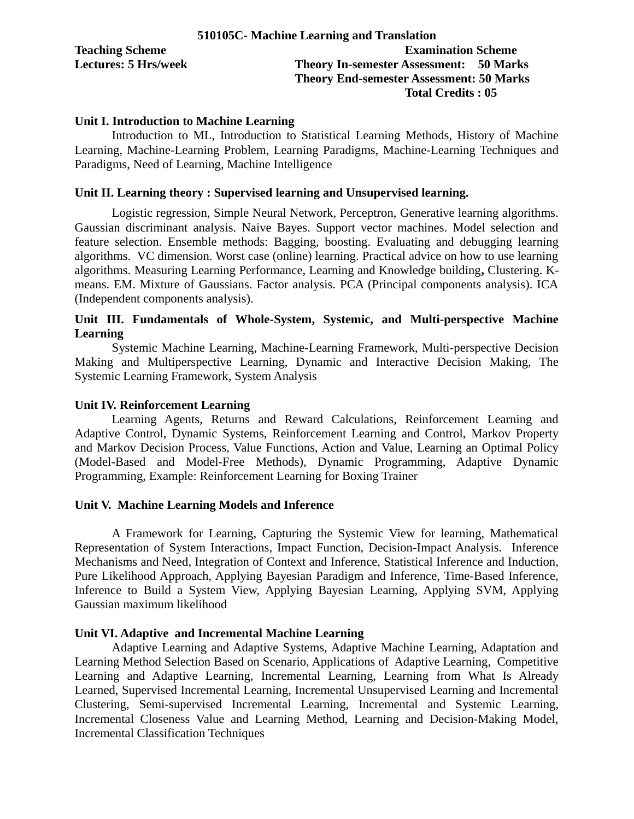|                             | 510105C- Machine Learning and Translation       |  |  |  |  |  |
|-----------------------------|-------------------------------------------------|--|--|--|--|--|
| <b>Teaching Scheme</b>      | <b>Examination Scheme</b>                       |  |  |  |  |  |
| <b>Lectures: 5 Hrs/week</b> | <b>Theory In-semester Assessment: 50 Marks</b>  |  |  |  |  |  |
|                             | <b>Theory End-semester Assessment: 50 Marks</b> |  |  |  |  |  |
|                             | <b>Total Credits: 05</b>                        |  |  |  |  |  |

#### **Unit I. Introduction to Machine Learning**

Introduction to ML, Introduction to Statistical Learning Methods, History of Machine Learning, Machine-Learning Problem, Learning Paradigms, Machine-Learning Techniques and Paradigms, Need of Learning, Machine Intelligence

#### **Unit II. Learning theory : Supervised learning and Unsupervised learning.**

Logistic regression, Simple Neural Network, Perceptron, Generative learning algorithms. Gaussian discriminant analysis. Naive Bayes. Support vector machines. Model selection and feature selection. Ensemble methods: Bagging, boosting. Evaluating and debugging learning algorithms. VC dimension. Worst case (online) learning. Practical advice on how to use learning algorithms. Measuring Learning Performance, Learning and Knowledge building**,** Clustering. Kmeans. EM. Mixture of Gaussians. Factor analysis. PCA (Principal components analysis). ICA (Independent components analysis).

## **Unit III. Fundamentals of Whole-System, Systemic, and Multi-perspective Machine Learning**

Systemic Machine Learning, Machine-Learning Framework, Multi-perspective Decision Making and Multiperspective Learning, Dynamic and Interactive Decision Making, The Systemic Learning Framework, System Analysis

#### **Unit IV. Reinforcement Learning**

Learning Agents, Returns and Reward Calculations, Reinforcement Learning and Adaptive Control, Dynamic Systems, Reinforcement Learning and Control, Markov Property and Markov Decision Process, Value Functions, Action and Value, Learning an Optimal Policy (Model-Based and Model-Free Methods), Dynamic Programming, Adaptive Dynamic Programming, Example: Reinforcement Learning for Boxing Trainer

#### **Unit V. Machine Learning Models and Inference**

A Framework for Learning, Capturing the Systemic View for learning, Mathematical Representation of System Interactions, Impact Function, Decision-Impact Analysis. Inference Mechanisms and Need, Integration of Context and Inference, Statistical Inference and Induction, Pure Likelihood Approach, Applying Bayesian Paradigm and Inference, Time-Based Inference, Inference to Build a System View, Applying Bayesian Learning, Applying SVM, Applying Gaussian maximum likelihood

#### **Unit VI. Adaptive and Incremental Machine Learning**

Adaptive Learning and Adaptive Systems, Adaptive Machine Learning, Adaptation and Learning Method Selection Based on Scenario, Applications of Adaptive Learning, Competitive Learning and Adaptive Learning, Incremental Learning, Learning from What Is Already Learned, Supervised Incremental Learning, Incremental Unsupervised Learning and Incremental Clustering, Semi-supervised Incremental Learning, Incremental and Systemic Learning, Incremental Closeness Value and Learning Method, Learning and Decision-Making Model, Incremental Classification Techniques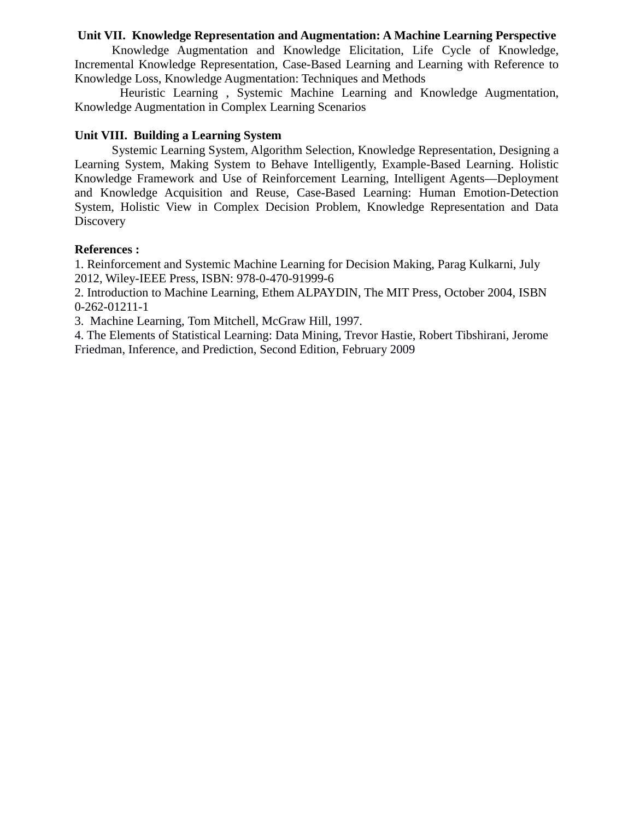## **Unit VII. Knowledge Representation and Augmentation: A Machine Learning Perspective**

Knowledge Augmentation and Knowledge Elicitation, Life Cycle of Knowledge, Incremental Knowledge Representation, Case-Based Learning and Learning with Reference to Knowledge Loss, Knowledge Augmentation: Techniques and Methods

Heuristic Learning , Systemic Machine Learning and Knowledge Augmentation, Knowledge Augmentation in Complex Learning Scenarios

#### **Unit VIII. Building a Learning System**

Systemic Learning System, Algorithm Selection, Knowledge Representation, Designing a Learning System, Making System to Behave Intelligently, Example-Based Learning. Holistic Knowledge Framework and Use of Reinforcement Learning, Intelligent Agents—Deployment and Knowledge Acquisition and Reuse, Case-Based Learning: Human Emotion-Detection System, Holistic View in Complex Decision Problem, Knowledge Representation and Data **Discovery** 

#### **References :**

1. Reinforcement and Systemic Machine Learning for Decision Making, Parag Kulkarni, July 2012, Wiley-IEEE Press, ISBN: 978-0-470-91999-6

2. Introduction to Machine Learning, Ethem ALPAYDIN, The MIT Press, October 2004, ISBN 0-262-01211-1

3. Machine Learning, Tom Mitchell, McGraw Hill, 1997.

4. The Elements of Statistical Learning: Data Mining, Trevor Hastie, Robert Tibshirani, Jerome Friedman, Inference, and Prediction, Second Edition, February 2009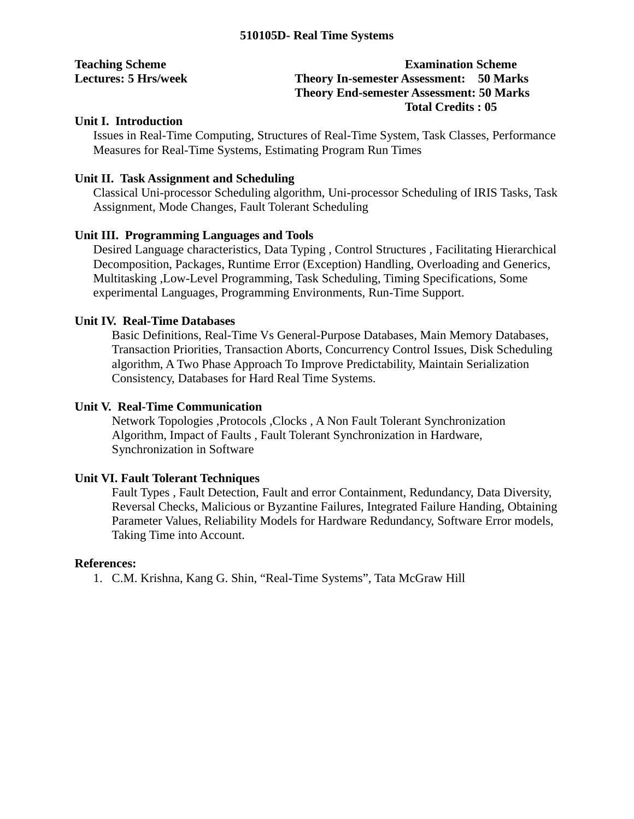| <b>Teaching Scheme</b>      | <b>Examination Scheme</b>                       |
|-----------------------------|-------------------------------------------------|
| <b>Lectures: 5 Hrs/week</b> | <b>Theory In-semester Assessment: 50 Marks</b>  |
|                             | <b>Theory End-semester Assessment: 50 Marks</b> |
|                             | <b>Total Credits: 05</b>                        |

## **Unit I. Introduction**

Issues in Real-Time Computing, Structures of Real-Time System, Task Classes, Performance Measures for Real-Time Systems, Estimating Program Run Times

## **Unit II. Task Assignment and Scheduling**

Classical Uni-processor Scheduling algorithm, Uni-processor Scheduling of IRIS Tasks, Task Assignment, Mode Changes, Fault Tolerant Scheduling

## **Unit III. Programming Languages and Tools**

Desired Language characteristics, Data Typing , Control Structures , Facilitating Hierarchical Decomposition, Packages, Runtime Error (Exception) Handling, Overloading and Generics, Multitasking ,Low-Level Programming, Task Scheduling, Timing Specifications, Some experimental Languages, Programming Environments, Run-Time Support.

## **Unit IV. Real-Time Databases**

Basic Definitions, Real-Time Vs General-Purpose Databases, Main Memory Databases, Transaction Priorities, Transaction Aborts, Concurrency Control Issues, Disk Scheduling algorithm, A Two Phase Approach To Improve Predictability, Maintain Serialization Consistency, Databases for Hard Real Time Systems.

## **Unit V. Real-Time Communication**

Network Topologies ,Protocols ,Clocks , A Non Fault Tolerant Synchronization Algorithm, Impact of Faults , Fault Tolerant Synchronization in Hardware, Synchronization in Software

## **Unit VI. Fault Tolerant Techniques**

Fault Types , Fault Detection, Fault and error Containment, Redundancy, Data Diversity, Reversal Checks, Malicious or Byzantine Failures, Integrated Failure Handing, Obtaining Parameter Values, Reliability Models for Hardware Redundancy, Software Error models, Taking Time into Account.

## **References:**

1. C.M. Krishna, Kang G. Shin, "Real-Time Systems", Tata McGraw Hill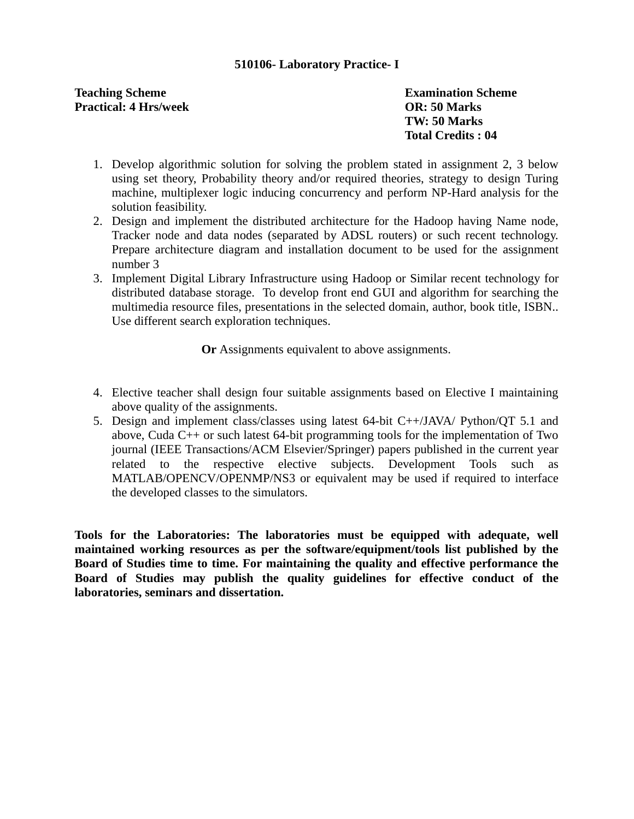## **510106- Laboratory Practice- I**

## **Teaching Scheme Examination Scheme Practical: 4 Hrs/week OR: 50 Marks**

**TW: 50 Marks Total Credits : 04**

- 1. Develop algorithmic solution for solving the problem stated in assignment 2, 3 below using set theory, Probability theory and/or required theories, strategy to design Turing machine, multiplexer logic inducing concurrency and perform NP-Hard analysis for the solution feasibility.
- 2. Design and implement the distributed architecture for the Hadoop having Name node, Tracker node and data nodes (separated by ADSL routers) or such recent technology. Prepare architecture diagram and installation document to be used for the assignment number 3
- 3. Implement Digital Library Infrastructure using Hadoop or Similar recent technology for distributed database storage. To develop front end GUI and algorithm for searching the multimedia resource files, presentations in the selected domain, author, book title, ISBN.. Use different search exploration techniques.

**Or** Assignments equivalent to above assignments.

- 4. Elective teacher shall design four suitable assignments based on Elective I maintaining above quality of the assignments.
- 5. Design and implement class/classes using latest 64-bit C++/JAVA/ Python/QT 5.1 and above, Cuda C++ or such latest 64-bit programming tools for the implementation of Two journal (IEEE Transactions/ACM Elsevier/Springer) papers published in the current year related to the respective elective subjects. Development Tools such as MATLAB/OPENCV/OPENMP/NS3 or equivalent may be used if required to interface the developed classes to the simulators.

**Tools for the Laboratories: The laboratories must be equipped with adequate, well maintained working resources as per the software/equipment/tools list published by the Board of Studies time to time. For maintaining the quality and effective performance the Board of Studies may publish the quality guidelines for effective conduct of the laboratories, seminars and dissertation.**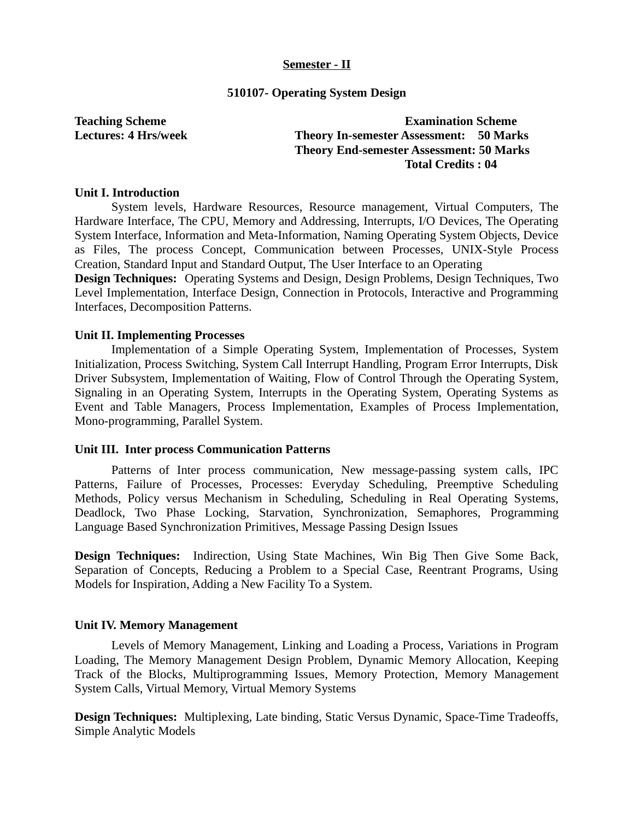#### **Semester - II**

#### **510107- Operating System Design**

## **Teaching Scheme Examination Scheme Lectures: 4 Hrs/week Theory In-semester Assessment: 50 Marks Theory End-semester Assessment: 50 Marks Total Credits : 04**

#### **Unit I. Introduction**

System levels, Hardware Resources, Resource management, Virtual Computers, The Hardware Interface, The CPU, Memory and Addressing, Interrupts, I/O Devices, The Operating System Interface, Information and Meta-Information, Naming Operating System Objects, Device as Files, The process Concept, Communication between Processes, UNIX-Style Process Creation, Standard Input and Standard Output, The User Interface to an Operating

**Design Techniques:** Operating Systems and Design, Design Problems, Design Techniques, Two Level Implementation, Interface Design, Connection in Protocols, Interactive and Programming Interfaces, Decomposition Patterns.

#### **Unit II. Implementing Processes**

Implementation of a Simple Operating System, Implementation of Processes, System Initialization, Process Switching, System Call Interrupt Handling, Program Error Interrupts, Disk Driver Subsystem, Implementation of Waiting, Flow of Control Through the Operating System, Signaling in an Operating System, Interrupts in the Operating System, Operating Systems as Event and Table Managers, Process Implementation, Examples of Process Implementation, Mono-programming, Parallel System.

#### **Unit III. Inter process Communication Patterns**

Patterns of Inter process communication, New message-passing system calls, IPC Patterns, Failure of Processes, Processes: Everyday Scheduling, Preemptive Scheduling Methods, Policy versus Mechanism in Scheduling, Scheduling in Real Operating Systems, Deadlock, Two Phase Locking, Starvation, Synchronization, Semaphores, Programming Language Based Synchronization Primitives, Message Passing Design Issues

**Design Techniques:** Indirection, Using State Machines, Win Big Then Give Some Back, Separation of Concepts, Reducing a Problem to a Special Case, Reentrant Programs, Using Models for Inspiration, Adding a New Facility To a System.

#### **Unit IV. Memory Management**

Levels of Memory Management, Linking and Loading a Process, Variations in Program Loading, The Memory Management Design Problem, Dynamic Memory Allocation, Keeping Track of the Blocks, Multiprogramming Issues, Memory Protection, Memory Management System Calls, Virtual Memory, Virtual Memory Systems

**Design Techniques:** Multiplexing, Late binding, Static Versus Dynamic, Space-Time Tradeoffs, Simple Analytic Models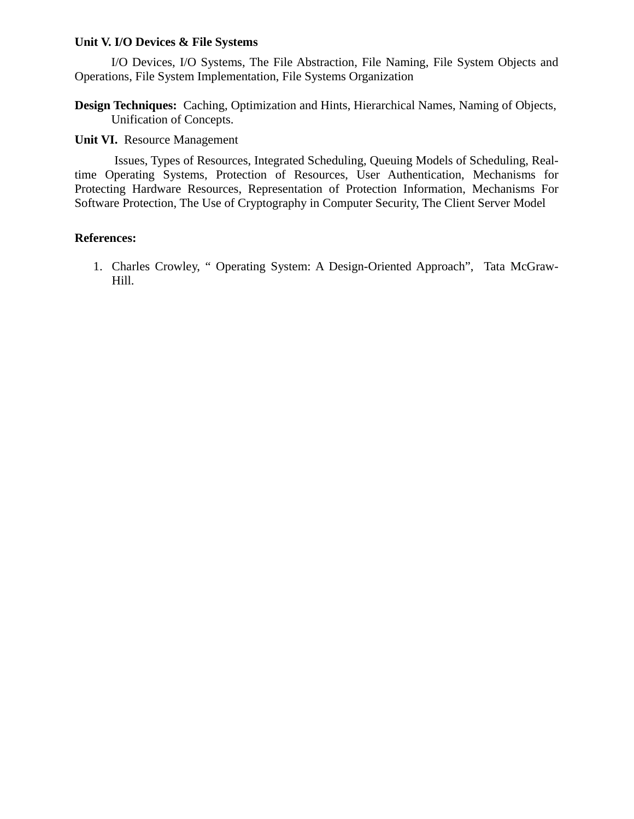### **Unit V. I/O Devices & File Systems**

I/O Devices, I/O Systems, The File Abstraction, File Naming, File System Objects and Operations, File System Implementation, File Systems Organization

**Design Techniques:** Caching, Optimization and Hints, Hierarchical Names, Naming of Objects, Unification of Concepts.

**Unit VI.** Resource Management

Issues, Types of Resources, Integrated Scheduling, Queuing Models of Scheduling, Realtime Operating Systems, Protection of Resources, User Authentication, Mechanisms for Protecting Hardware Resources, Representation of Protection Information, Mechanisms For Software Protection, The Use of Cryptography in Computer Security, The Client Server Model

## **References:**

1. Charles Crowley, " Operating System: A Design-Oriented Approach", Tata McGraw-Hill.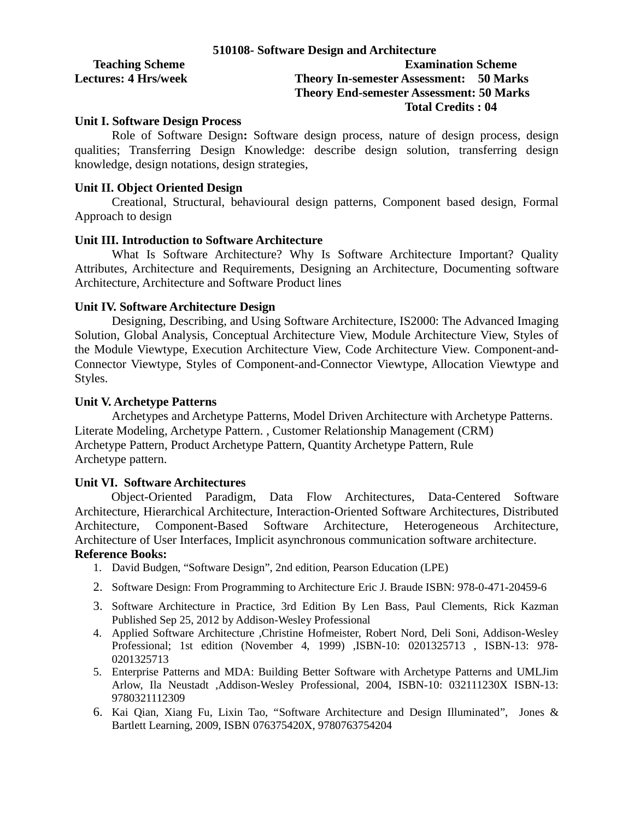|                             | 510108- Software Design and Architecture        |
|-----------------------------|-------------------------------------------------|
| <b>Teaching Scheme</b>      | <b>Examination Scheme</b>                       |
| <b>Lectures: 4 Hrs/week</b> | <b>Theory In-semester Assessment: 50 Marks</b>  |
|                             | <b>Theory End-semester Assessment: 50 Marks</b> |
|                             | Total Credits : 04                              |

#### **Unit I. Software Design Process**

Role of Software Design**:** Software design process, nature of design process, design qualities; Transferring Design Knowledge: describe design solution, transferring design knowledge, design notations, design strategies,

## **Unit II. Object Oriented Design**

Creational, Structural, behavioural design patterns, Component based design, Formal Approach to design

#### **Unit III. Introduction to Software Architecture**

What Is Software Architecture? Why Is Software Architecture Important? Quality Attributes, Architecture and Requirements, Designing an Architecture, Documenting software Architecture, Architecture and Software Product lines

#### **Unit IV. Software Architecture Design**

Designing, Describing, and Using Software Architecture, IS2000: The Advanced Imaging Solution, Global Analysis, Conceptual Architecture View, Module Architecture View, Styles of the Module Viewtype, Execution Architecture View, Code Architecture View. Component-and-Connector Viewtype, Styles of Component-and-Connector Viewtype, Allocation Viewtype and Styles.

### **Unit V. Archetype Patterns**

Archetypes and Archetype Patterns, Model Driven Architecture with Archetype Patterns. Literate Modeling, Archetype Pattern. , Customer Relationship Management (CRM) Archetype Pattern, Product Archetype Pattern, Quantity Archetype Pattern, Rule Archetype pattern.

## **Unit VI. Software Architectures**

Object-Oriented Paradigm, Data Flow Architectures, Data-Centered Software Architecture, Hierarchical Architecture, Interaction-Oriented Software Architectures, Distributed Architecture, Component-Based Software Architecture, Heterogeneous Architecture, Architecture of User Interfaces, Implicit asynchronous communication software architecture.

#### **Reference Books:**

- 1. David Budgen, "Software Design", 2nd edition, Pearson Education (LPE)
- 2. Software Design: From Programming to Architecture Eric J. Braude ISBN: 978-0-471-20459-6
- 3. Software Architecture in Practice, 3rd Edition By Len Bass, Paul Clements, Rick Kazman Published Sep 25, 2012 by Addison-Wesley Professional
- 4. Applied Software Architecture ,Christine Hofmeister, Robert Nord, Deli Soni, Addison-Wesley Professional; 1st edition (November 4, 1999) ,ISBN-10: 0201325713 , ISBN-13: 978- 0201325713
- 5. Enterprise Patterns and MDA: Building Better Software with Archetype Patterns and UMLJim Arlow, Ila Neustadt ,Addison-Wesley Professional, 2004, ISBN-10: 032111230X ISBN-13: 9780321112309
- 6. Kai Qian, Xiang Fu, Lixin Tao, "Software Architecture and Design Illuminated", Jones & Bartlett Learning, 2009, ISBN 076375420X, 9780763754204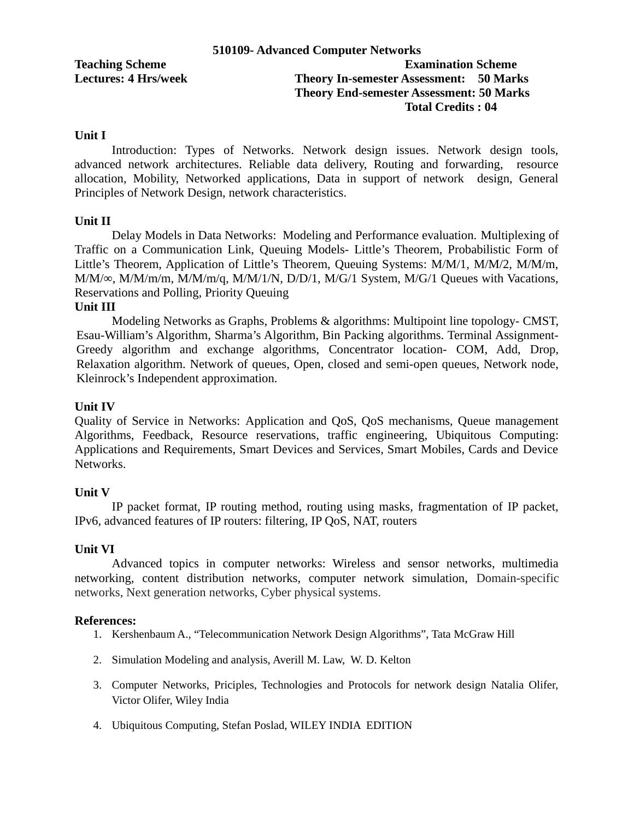|                             | 510109- Advanced Computer Networks              |
|-----------------------------|-------------------------------------------------|
| <b>Teaching Scheme</b>      | <b>Examination Scheme</b>                       |
| <b>Lectures: 4 Hrs/week</b> | <b>Theory In-semester Assessment: 50 Marks</b>  |
|                             | <b>Theory End-semester Assessment: 50 Marks</b> |
|                             | Total Credits : 04                              |

#### **Unit I**

Introduction: Types of Networks. Network design issues. Network design tools, advanced network architectures. Reliable data delivery, Routing and forwarding, resource allocation, Mobility, Networked applications, Data in support of network design, General Principles of Network Design, network characteristics.

#### **Unit II**

Delay Models in Data Networks: Modeling and Performance evaluation. Multiplexing of Traffic on a Communication Link, Queuing Models- Little's Theorem, Probabilistic Form of Little's Theorem, Application of Little's Theorem, Queuing Systems: M/M/1, M/M/2, M/M/m, M/M/∞, M/M/m/m, M/M/m/q, M/M/1/N, D/D/1, M/G/1 System, M/G/1 Queues with Vacations, Reservations and Polling, Priority Queuing

#### **Unit III**

Modeling Networks as Graphs, Problems & algorithms: Multipoint line topology- CMST, Esau-William's Algorithm, Sharma's Algorithm, Bin Packing algorithms. Terminal Assignment-Greedy algorithm and exchange algorithms, Concentrator location- COM, Add, Drop, Relaxation algorithm. Network of queues, Open, closed and semi-open queues, Network node, Kleinrock's Independent approximation.

#### **Unit IV**

Quality of Service in Networks: Application and QoS, QoS mechanisms, Queue management Algorithms, Feedback, Resource reservations, traffic engineering, Ubiquitous Computing: Applications and Requirements, Smart Devices and Services, Smart Mobiles, Cards and Device Networks.

## **Unit V**

IP packet format, IP routing method, routing using masks, fragmentation of IP packet, IPv6, advanced features of IP routers: filtering, IP QoS, NAT, routers

#### **Unit VI**

Advanced topics in computer networks: Wireless and sensor networks, multimedia networking, content distribution networks, computer network simulation, Domain-specific networks, Next generation networks, Cyber physical systems.

#### **References:**

- 1. Kershenbaum A., "Telecommunication Network Design Algorithms", Tata McGraw Hill
- 2. Simulation Modeling and analysis, Averill M. Law, W. D. Kelton
- 3. Computer Networks, Priciples, Technologies and Protocols for network design Natalia Olifer, Victor Olifer, Wiley India
- 4. Ubiquitous Computing, Stefan Poslad, WILEY INDIA EDITION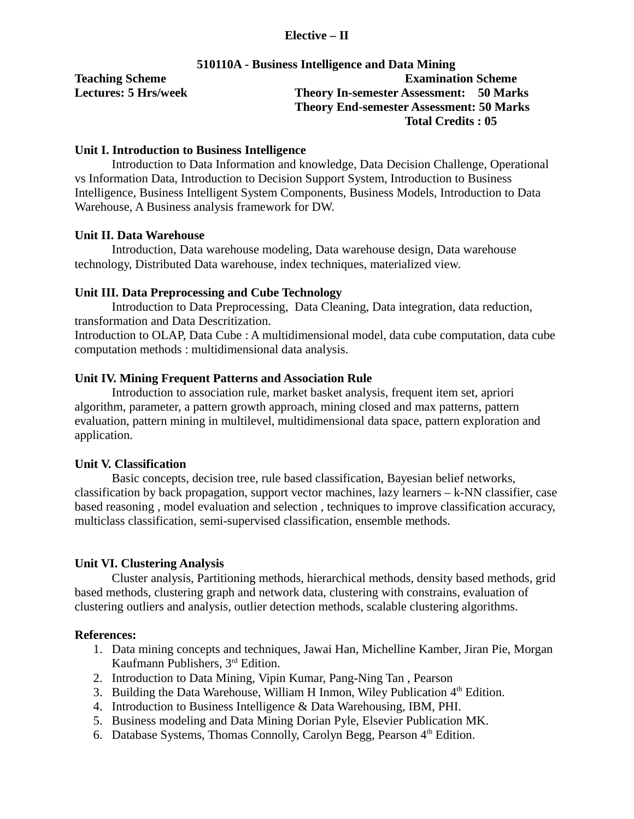## **Elective – II**

## **510110A - Business Intelligence and Data Mining Teaching Scheme Examination Scheme Lectures: 5 Hrs/week Theory In-semester Assessment: 50 Marks Theory End-semester Assessment: 50 Marks Total Credits : 05**

## **Unit I. Introduction to Business Intelligence**

Introduction to Data Information and knowledge, Data Decision Challenge, Operational vs Information Data, Introduction to Decision Support System, Introduction to Business Intelligence, Business Intelligent System Components, Business Models, Introduction to Data Warehouse, A Business analysis framework for DW.

#### **Unit II. Data Warehouse**

Introduction, Data warehouse modeling, Data warehouse design, Data warehouse technology, Distributed Data warehouse, index techniques, materialized view.

## **Unit III. Data Preprocessing and Cube Technology**

Introduction to Data Preprocessing, Data Cleaning, Data integration, data reduction, transformation and Data Descritization.

Introduction to OLAP, Data Cube : A multidimensional model, data cube computation, data cube computation methods : multidimensional data analysis.

#### **Unit IV. Mining Frequent Patterns and Association Rule**

Introduction to association rule, market basket analysis, frequent item set, apriori algorithm, parameter, a pattern growth approach, mining closed and max patterns, pattern evaluation, pattern mining in multilevel, multidimensional data space, pattern exploration and application.

#### **Unit V. Classification**

Basic concepts, decision tree, rule based classification, Bayesian belief networks, classification by back propagation, support vector machines, lazy learners  $-k-NN$  classifier, case based reasoning , model evaluation and selection , techniques to improve classification accuracy, multiclass classification, semi-supervised classification, ensemble methods.

#### **Unit VI. Clustering Analysis**

Cluster analysis, Partitioning methods, hierarchical methods, density based methods, grid based methods, clustering graph and network data, clustering with constrains, evaluation of clustering outliers and analysis, outlier detection methods, scalable clustering algorithms.

#### **References:**

- 1. Data mining concepts and techniques, Jawai Han, Michelline Kamber, Jiran Pie, Morgan Kaufmann Publishers, 3rd Edition.
- 2. Introduction to Data Mining, Vipin Kumar, Pang-Ning Tan , Pearson
- 3. Building the Data Warehouse, William H Inmon, Wiley Publication  $4<sup>th</sup>$  Edition.
- 4. Introduction to Business Intelligence & Data Warehousing, IBM, PHI.
- 5. Business modeling and Data Mining Dorian Pyle, Elsevier Publication MK.
- 6. Database Systems, Thomas Connolly, Carolyn Begg, Pearson  $4<sup>th</sup>$  Edition.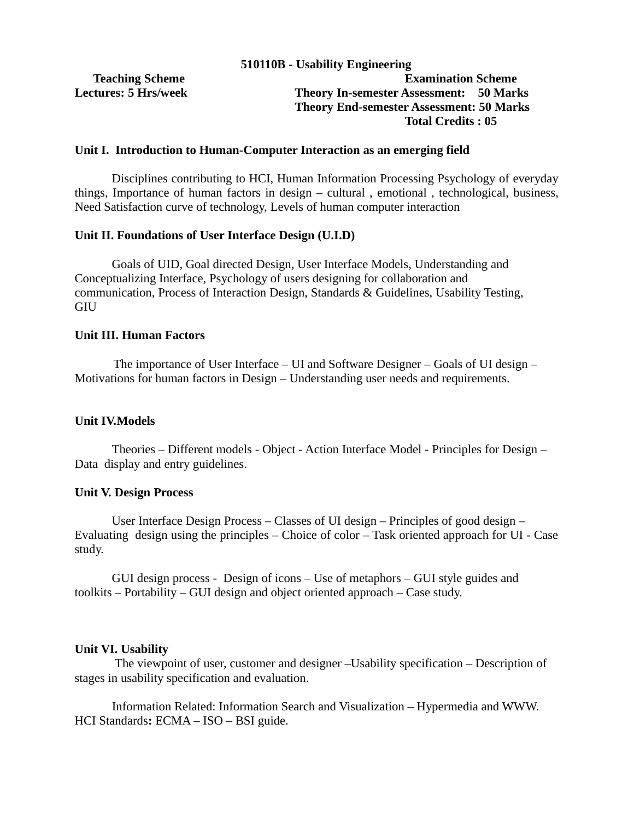#### **Unit I. Introduction to Human-Computer Interaction as an emerging field**

Disciplines contributing to HCI, Human Information Processing Psychology of everyday things, Importance of human factors in design – cultural , emotional , technological, business, Need Satisfaction curve of technology, Levels of human computer interaction

#### **Unit II. Foundations of User Interface Design (U.I.D)**

Goals of UID, Goal directed Design, User Interface Models, Understanding and Conceptualizing Interface, Psychology of users designing for collaboration and communication, Process of Interaction Design, Standards & Guidelines, Usability Testing, GIU

#### **Unit III. Human Factors**

The importance of User Interface – UI and Software Designer – Goals of UI design – Motivations for human factors in Design – Understanding user needs and requirements.

#### **Unit IV.Models**

Theories – Different models - Object - Action Interface Model - Principles for Design – Data display and entry guidelines.

#### **Unit V. Design Process**

User Interface Design Process – Classes of UI design – Principles of good design – Evaluating design using the principles – Choice of color – Task oriented approach for UI - Case study.

GUI design process - Design of icons – Use of metaphors – GUI style guides and toolkits – Portability – GUI design and object oriented approach – Case study.

#### **Unit VI. Usability**

 The viewpoint of user, customer and designer –Usability specification – Description of stages in usability specification and evaluation.

Information Related: Information Search and Visualization – Hypermedia and WWW. HCI Standards**:** ECMA – ISO – BSI guide.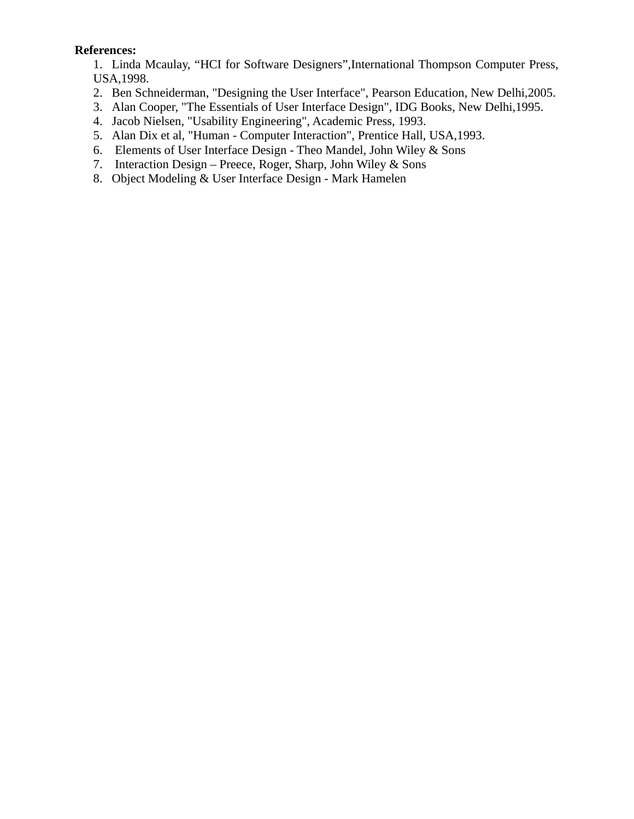## **References:**

1. Linda Mcaulay, "HCI for Software Designers",International Thompson Computer Press, USA,1998.

- 2. Ben Schneiderman, "Designing the User Interface", Pearson Education, New Delhi,2005.
- 3. Alan Cooper, "The Essentials of User Interface Design", IDG Books, New Delhi,1995.
- 4. Jacob Nielsen, "Usability Engineering", Academic Press, 1993.
- 5. Alan Dix et al, "Human Computer Interaction", Prentice Hall, USA,1993.
- 6. Elements of User Interface Design Theo Mandel, John Wiley & Sons
- 7. Interaction Design Preece, Roger, Sharp, John Wiley & Sons
- 8. Object Modeling & User Interface Design Mark Hamelen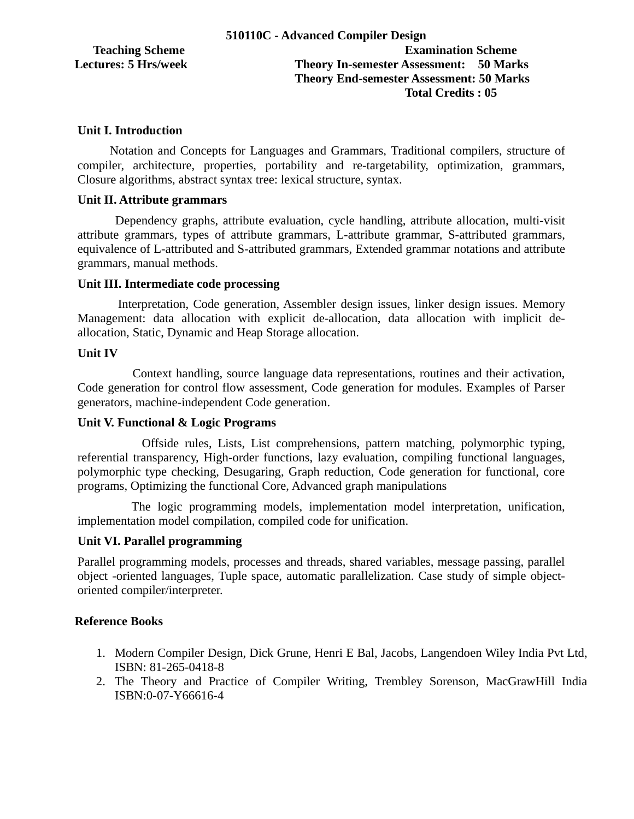## **Teaching Scheme Examination Scheme Lectures: 5 Hrs/week Theory In-semester Assessment: 50 Marks Theory End-semester Assessment: 50 Marks Total Credits : 05**

## **Unit I. Introduction**

 Notation and Concepts for Languages and Grammars, Traditional compilers, structure of compiler, architecture, properties, portability and re-targetability, optimization, grammars, Closure algorithms, abstract syntax tree: lexical structure, syntax.

#### **Unit II. Attribute grammars**

 Dependency graphs, attribute evaluation, cycle handling, attribute allocation, multi-visit attribute grammars, types of attribute grammars, L-attribute grammar, S-attributed grammars, equivalence of L-attributed and S-attributed grammars, Extended grammar notations and attribute grammars, manual methods.

## **Unit III. Intermediate code processing**

 Interpretation, Code generation, Assembler design issues, linker design issues. Memory Management: data allocation with explicit de-allocation, data allocation with implicit deallocation, Static, Dynamic and Heap Storage allocation.

### **Unit IV**

 Context handling, source language data representations, routines and their activation, Code generation for control flow assessment, Code generation for modules. Examples of Parser generators, machine-independent Code generation.

## **Unit V. Functional & Logic Programs**

 Offside rules, Lists, List comprehensions, pattern matching, polymorphic typing, referential transparency, High-order functions, lazy evaluation, compiling functional languages, polymorphic type checking, Desugaring, Graph reduction, Code generation for functional, core programs, Optimizing the functional Core, Advanced graph manipulations

 The logic programming models, implementation model interpretation, unification, implementation model compilation, compiled code for unification.

## **Unit VI. Parallel programming**

Parallel programming models, processes and threads, shared variables, message passing, parallel object -oriented languages, Tuple space, automatic parallelization. Case study of simple objectoriented compiler/interpreter.

## **Reference Books**

- 1. Modern Compiler Design, Dick Grune, Henri E Bal, Jacobs, Langendoen Wiley India Pvt Ltd, ISBN: 81-265-0418-8
- 2. The Theory and Practice of Compiler Writing, Trembley Sorenson, MacGrawHill India ISBN:0-07-Y66616-4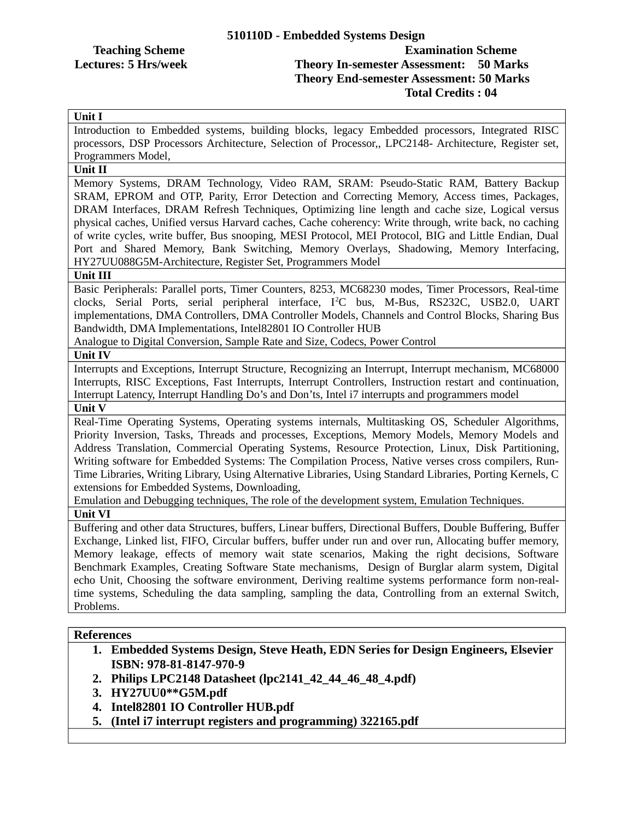## **Teaching Scheme Examination Scheme Lectures: 5 Hrs/week Theory In-semester Assessment: 50 Marks Theory End-semester Assessment: 50 Marks Total Credits : 04**

## **Unit I**

Introduction to Embedded systems, building blocks, legacy Embedded processors, Integrated RISC processors, DSP Processors Architecture, Selection of Processor,, LPC2148- Architecture, Register set, Programmers Model,

## **Unit II**

Memory Systems, DRAM Technology, Video RAM, SRAM: Pseudo-Static RAM, Battery Backup SRAM, EPROM and OTP, Parity, Error Detection and Correcting Memory, Access times, Packages, DRAM Interfaces, DRAM Refresh Techniques, Optimizing line length and cache size, Logical versus physical caches, Unified versus Harvard caches, Cache coherency: Write through, write back, no caching of write cycles, write buffer, Bus snooping, MESI Protocol, MEI Protocol, BIG and Little Endian, Dual Port and Shared Memory, Bank Switching, Memory Overlays, Shadowing, Memory Interfacing, HY27UU088G5M-Architecture, Register Set, Programmers Model

#### **Unit III**

Basic Peripherals: Parallel ports, Timer Counters, 8253, MC68230 modes, Timer Processors, Real-time clocks, Serial Ports, serial peripheral interface, I<sup>2</sup>C bus, M-Bus, RS232C, USB2.0, UART implementations, DMA Controllers, DMA Controller Models, Channels and Control Blocks, Sharing Bus Bandwidth, DMA Implementations, Intel82801 IO Controller HUB

Analogue to Digital Conversion, Sample Rate and Size, Codecs, Power Control

#### **Unit IV**

Interrupts and Exceptions, Interrupt Structure, Recognizing an Interrupt, Interrupt mechanism, MC68000 Interrupts, RISC Exceptions, Fast Interrupts, Interrupt Controllers, Instruction restart and continuation, Interrupt Latency, Interrupt Handling Do's and Don'ts, Intel i7 interrupts and programmers model

**Unit V**

Real-Time Operating Systems, Operating systems internals, Multitasking OS, Scheduler Algorithms, Priority Inversion, Tasks, Threads and processes, Exceptions, Memory Models, Memory Models and Address Translation, Commercial Operating Systems, Resource Protection, Linux, Disk Partitioning, Writing software for Embedded Systems: The Compilation Process, Native verses cross compilers, Run-Time Libraries, Writing Library, Using Alternative Libraries, Using Standard Libraries, Porting Kernels, C extensions for Embedded Systems, Downloading,

Emulation and Debugging techniques, The role of the development system, Emulation Techniques.

#### **Unit VI**

Buffering and other data Structures, buffers, Linear buffers, Directional Buffers, Double Buffering, Buffer Exchange, Linked list, FIFO, Circular buffers, buffer under run and over run, Allocating buffer memory, Memory leakage, effects of memory wait state scenarios, Making the right decisions, Software Benchmark Examples, Creating Software State mechanisms, Design of Burglar alarm system, Digital echo Unit, Choosing the software environment, Deriving realtime systems performance form non-realtime systems, Scheduling the data sampling, sampling the data, Controlling from an external Switch, Problems.

#### **References**

- **1. Embedded Systems Design, Steve Heath, EDN Series for Design Engineers, Elsevier ISBN: 978-81-8147-970-9**
- **2. Philips LPC2148 Datasheet (lpc2141\_42\_44\_46\_48\_4.pdf)**
- **3. HY27UU0\*\*G5M.pdf**
- **4. Intel82801 IO Controller HUB.pdf**
- **5. (Intel i7 interrupt registers and programming) 322165.pdf**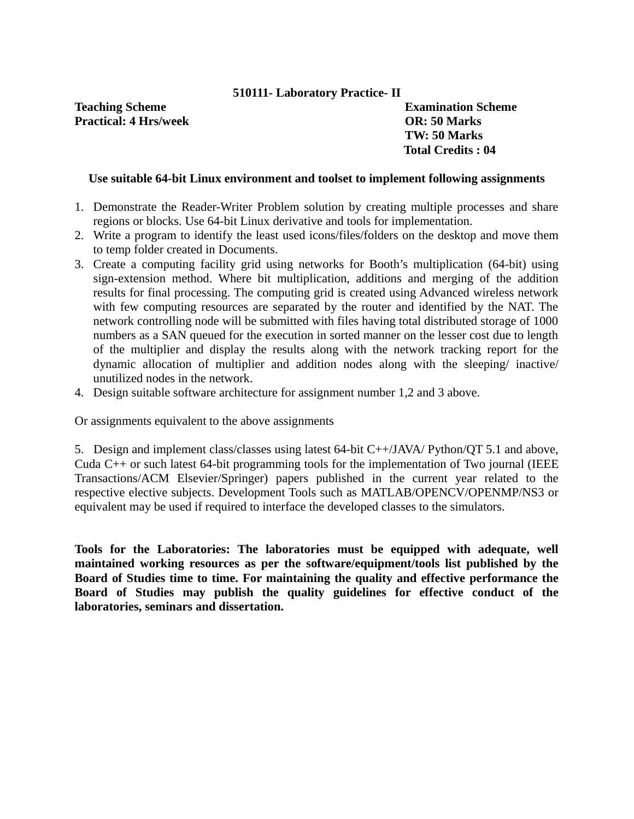## **510111- Laboratory Practice- II**

**Teaching Scheme Examination Scheme Practical: 4 Hrs/week OR: 50 Marks**

**TW: 50 Marks Total Credits : 04**

## **Use suitable 64-bit Linux environment and toolset to implement following assignments**

- 1. Demonstrate the Reader-Writer Problem solution by creating multiple processes and share regions or blocks. Use 64-bit Linux derivative and tools for implementation.
- 2. Write a program to identify the least used icons/files/folders on the desktop and move them to temp folder created in Documents.
- 3. Create a computing facility grid using networks for Booth's multiplication (64-bit) using sign-extension method. Where bit multiplication, additions and merging of the addition results for final processing. The computing grid is created using Advanced wireless network with few computing resources are separated by the router and identified by the NAT. The network controlling node will be submitted with files having total distributed storage of 1000 numbers as a SAN queued for the execution in sorted manner on the lesser cost due to length of the multiplier and display the results along with the network tracking report for the dynamic allocation of multiplier and addition nodes along with the sleeping/ inactive/ unutilized nodes in the network.
- 4. Design suitable software architecture for assignment number 1,2 and 3 above.

Or assignments equivalent to the above assignments

5. Design and implement class/classes using latest 64-bit C++/JAVA/ Python/QT 5.1 and above, Cuda C++ or such latest 64-bit programming tools for the implementation of Two journal (IEEE Transactions/ACM Elsevier/Springer) papers published in the current year related to the respective elective subjects. Development Tools such as MATLAB/OPENCV/OPENMP/NS3 or equivalent may be used if required to interface the developed classes to the simulators.

**Tools for the Laboratories: The laboratories must be equipped with adequate, well maintained working resources as per the software/equipment/tools list published by the Board of Studies time to time. For maintaining the quality and effective performance the Board of Studies may publish the quality guidelines for effective conduct of the laboratories, seminars and dissertation.**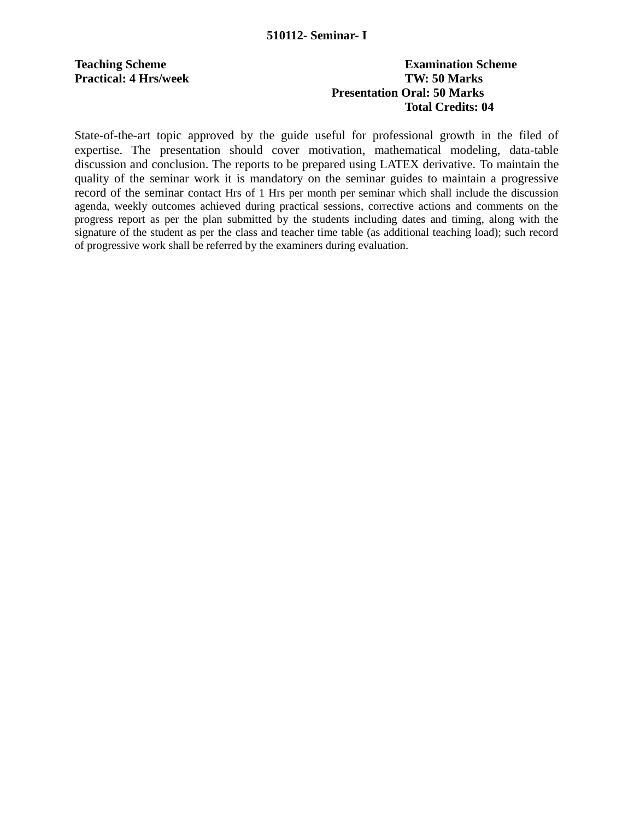## **Teaching Scheme Examination Scheme Practical: 4 Hrs/week TW: 50 Marks Presentation Oral: 50 Marks Total Credits: 04**

State-of-the-art topic approved by the guide useful for professional growth in the filed of expertise. The presentation should cover motivation, mathematical modeling, data-table discussion and conclusion. The reports to be prepared using LATEX derivative. To maintain the quality of the seminar work it is mandatory on the seminar guides to maintain a progressive record of the seminar contact Hrs of 1 Hrs per month per seminar which shall include the discussion agenda, weekly outcomes achieved during practical sessions, corrective actions and comments on the progress report as per the plan submitted by the students including dates and timing, along with the signature of the student as per the class and teacher time table (as additional teaching load); such record of progressive work shall be referred by the examiners during evaluation.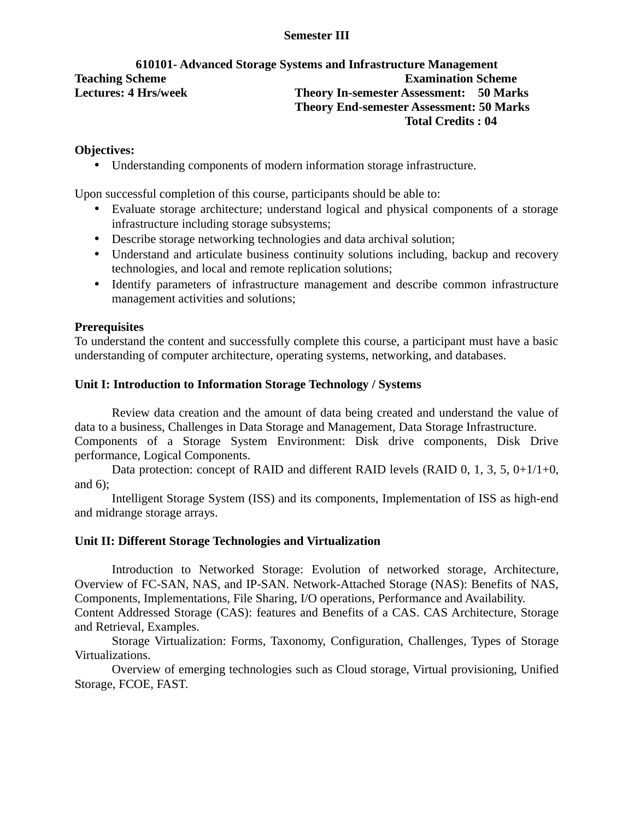## **Semester III**

## **610101- Advanced Storage Systems and Infrastructure Management Teaching Scheme Examination Scheme Lectures: 4 Hrs/week Theory In-semester Assessment: 50 Marks Theory End-semester Assessment: 50 Marks Total Credits : 04**

## **Objectives:**

• Understanding components of modern information storage infrastructure.

Upon successful completion of this course, participants should be able to:

- Evaluate storage architecture; understand logical and physical components of a storage infrastructure including storage subsystems;
- Describe storage networking technologies and data archival solution;
- Understand and articulate business continuity solutions including, backup and recovery technologies, and local and remote replication solutions;
- Identify parameters of infrastructure management and describe common infrastructure management activities and solutions;

## **Prerequisites**

To understand the content and successfully complete this course, a participant must have a basic understanding of computer architecture, operating systems, networking, and databases.

## **Unit I: Introduction to Information Storage Technology / Systems**

Review data creation and the amount of data being created and understand the value of data to a business, Challenges in Data Storage and Management, Data Storage Infrastructure. Components of a Storage System Environment: Disk drive components, Disk Drive performance, Logical Components.

Data protection: concept of RAID and different RAID levels (RAID 0, 1, 3, 5, 0+1/1+0, and 6);

Intelligent Storage System (ISS) and its components, Implementation of ISS as high-end and midrange storage arrays.

## **Unit II: Different Storage Technologies and Virtualization**

Introduction to Networked Storage: Evolution of networked storage, Architecture, Overview of FC-SAN, NAS, and IP-SAN. Network-Attached Storage (NAS): Benefits of NAS, Components, Implementations, File Sharing, I/O operations, Performance and Availability. Content Addressed Storage (CAS): features and Benefits of a CAS. CAS Architecture, Storage and Retrieval, Examples.

Storage Virtualization: Forms, Taxonomy, Configuration, Challenges, Types of Storage Virtualizations.

Overview of emerging technologies such as Cloud storage, Virtual provisioning, Unified Storage, FCOE, FAST.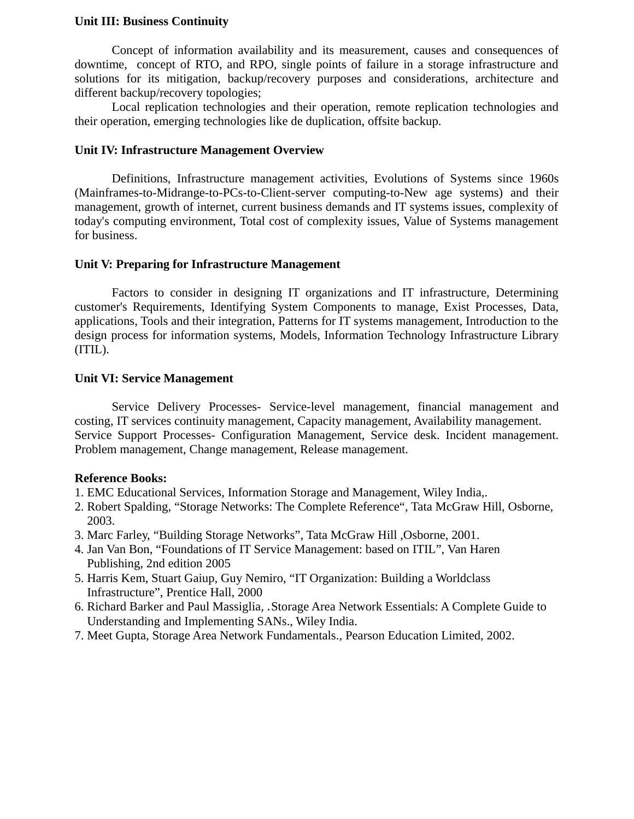#### **Unit III: Business Continuity**

Concept of information availability and its measurement, causes and consequences of downtime, concept of RTO, and RPO, single points of failure in a storage infrastructure and solutions for its mitigation, backup/recovery purposes and considerations, architecture and different backup/recovery topologies;

Local replication technologies and their operation, remote replication technologies and their operation, emerging technologies like de duplication, offsite backup.

#### **Unit IV: Infrastructure Management Overview**

Definitions, Infrastructure management activities, Evolutions of Systems since 1960s (Mainframes-to-Midrange-to-PCs-to-Client-server computing-to-New age systems) and their management, growth of internet, current business demands and IT systems issues, complexity of today's computing environment, Total cost of complexity issues, Value of Systems management for business.

## **Unit V: Preparing for Infrastructure Management**

Factors to consider in designing IT organizations and IT infrastructure, Determining customer's Requirements, Identifying System Components to manage, Exist Processes, Data, applications, Tools and their integration, Patterns for IT systems management, Introduction to the design process for information systems, Models, Information Technology Infrastructure Library (ITIL).

#### **Unit VI: Service Management**

Service Delivery Processes- Service-level management, financial management and costing, IT services continuity management, Capacity management, Availability management. Service Support Processes- Configuration Management, Service desk. Incident management. Problem management, Change management, Release management.

## **Reference Books:**

- 1. EMC Educational Services, Information Storage and Management, Wiley India,.
- 2. Robert Spalding, "Storage Networks: The Complete Reference", Tata McGraw Hill, Osborne, 2003.
- 3. Marc Farley, "Building Storage Networks", Tata McGraw Hill ,Osborne, 2001.
- 4. Jan Van Bon, "Foundations of IT Service Management: based on ITIL", Van Haren Publishing, 2nd edition 2005
- 5. Harris Kem, Stuart Gaiup, Guy Nemiro, "IT Organization: Building a Worldclass Infrastructure", Prentice Hall, 2000
- 6. Richard Barker and Paul Massiglia*,* .Storage Area Network Essentials: A Complete Guide to Understanding and Implementing SANs., Wiley India.
- 7. Meet Gupta, Storage Area Network Fundamentals., Pearson Education Limited, 2002.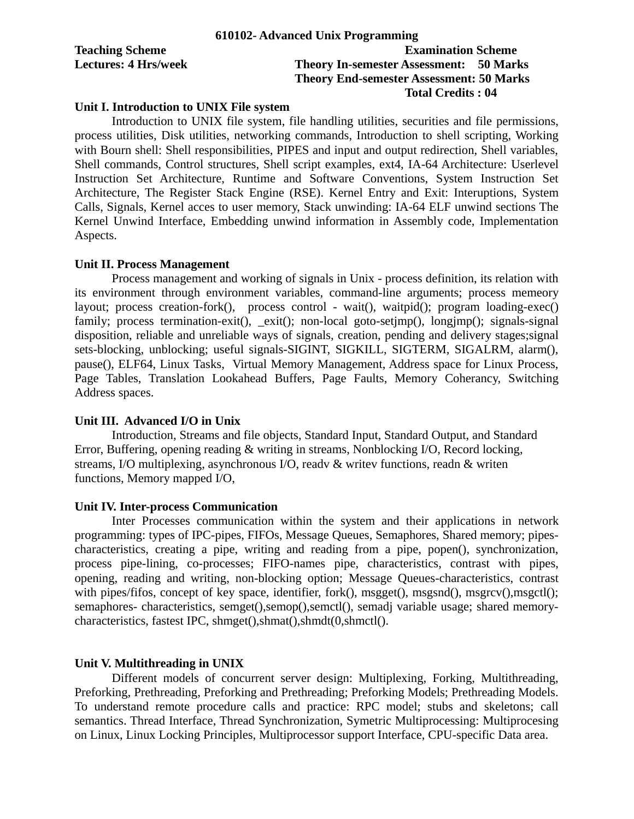|                             | 610102- Advanced Unix Programming               |
|-----------------------------|-------------------------------------------------|
| <b>Teaching Scheme</b>      | <b>Examination Scheme</b>                       |
| <b>Lectures: 4 Hrs/week</b> | <b>Theory In-semester Assessment: 50 Marks</b>  |
|                             | <b>Theory End-semester Assessment: 50 Marks</b> |
|                             | Total Credits : 04                              |

#### **Unit I. Introduction to UNIX File system**

Introduction to UNIX file system, file handling utilities, securities and file permissions, process utilities, Disk utilities, networking commands, Introduction to shell scripting, Working with Bourn shell: Shell responsibilities, PIPES and input and output redirection, Shell variables, Shell commands, Control structures, Shell script examples, ext4, IA-64 Architecture: Userlevel Instruction Set Architecture, Runtime and Software Conventions, System Instruction Set Architecture, The Register Stack Engine (RSE). Kernel Entry and Exit: Interuptions, System Calls, Signals, Kernel acces to user memory, Stack unwinding: IA-64 ELF unwind sections The Kernel Unwind Interface, Embedding unwind information in Assembly code, Implementation Aspects.

#### **Unit II. Process Management**

Process management and working of signals in Unix - process definition, its relation with its environment through environment variables, command-line arguments; process memeory layout; process creation-fork(), process control - wait(), waitpid(); program loading-exec() family; process termination-exit(), \_exit(); non-local goto-setimp(), longimp(); signals-signal disposition, reliable and unreliable ways of signals, creation, pending and delivery stages;signal sets-blocking, unblocking; useful signals-SIGINT, SIGKILL, SIGTERM, SIGALRM, alarm(), pause(), ELF64, Linux Tasks, Virtual Memory Management, Address space for Linux Process, Page Tables, Translation Lookahead Buffers, Page Faults, Memory Coherancy, Switching Address spaces.

#### **Unit III. Advanced I/O in Unix**

Introduction, Streams and file objects, Standard Input, Standard Output, and Standard Error, Buffering, opening reading & writing in streams, Nonblocking I/O, Record locking, streams, I/O multiplexing, asynchronous I/O, readv & writev functions, readn & writen functions, Memory mapped I/O,

#### **Unit IV. Inter-process Communication**

Inter Processes communication within the system and their applications in network programming: types of IPC-pipes, FIFOs, Message Queues, Semaphores, Shared memory; pipescharacteristics, creating a pipe, writing and reading from a pipe, popen(), synchronization, process pipe-lining, co-processes; FIFO-names pipe, characteristics, contrast with pipes, opening, reading and writing, non-blocking option; Message Queues-characteristics, contrast with pipes/fifos, concept of key space, identifier, fork(), msgget(), msgsnd(), msgrcv(), msgctl(); semaphores- characteristics, semget(),semop(),semctl(), semadj variable usage; shared memorycharacteristics, fastest IPC, shmget(),shmat(),shmdt(0,shmctl().

#### **Unit V. Multithreading in UNIX**

Different models of concurrent server design: Multiplexing, Forking, Multithreading, Preforking, Prethreading, Preforking and Prethreading; Preforking Models; Prethreading Models. To understand remote procedure calls and practice: RPC model; stubs and skeletons; call semantics. Thread Interface, Thread Synchronization, Symetric Multiprocessing: Multiprocesing on Linux, Linux Locking Principles, Multiprocessor support Interface, CPU-specific Data area.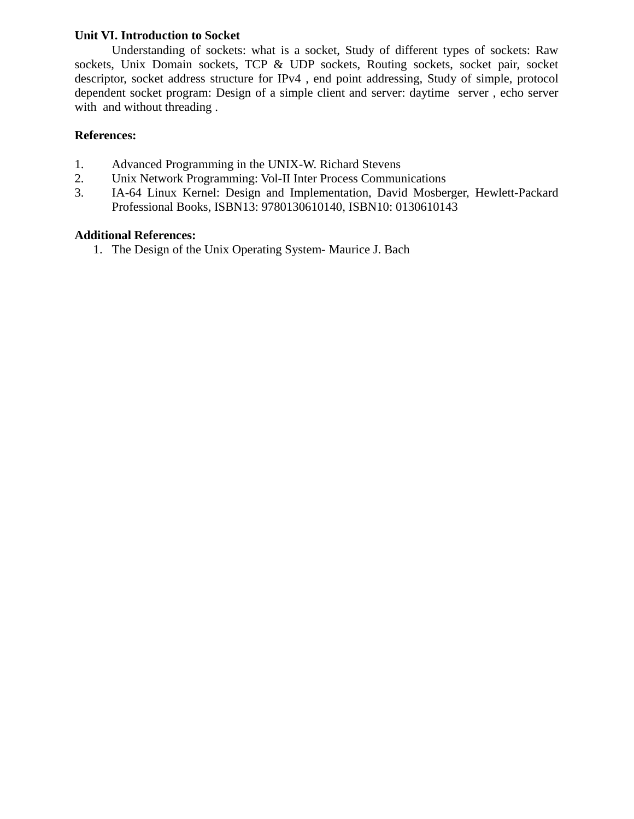## **Unit VI. Introduction to Socket**

Understanding of sockets: what is a socket, Study of different types of sockets: Raw sockets, Unix Domain sockets, TCP & UDP sockets, Routing sockets, socket pair, socket descriptor, socket address structure for IPv4 , end point addressing, Study of simple, protocol dependent socket program: Design of a simple client and server: daytime server , echo server with and without threading .

## **References:**

- 1. Advanced Programming in the UNIX-W. Richard Stevens
- 2. Unix Network Programming: Vol-II Inter Process Communications
- 3. IA-64 Linux Kernel: Design and Implementation, David Mosberger, Hewlett-Packard Professional Books, ISBN13: 9780130610140, ISBN10: 0130610143

## **Additional References:**

1. The Design of the Unix Operating System- Maurice J. Bach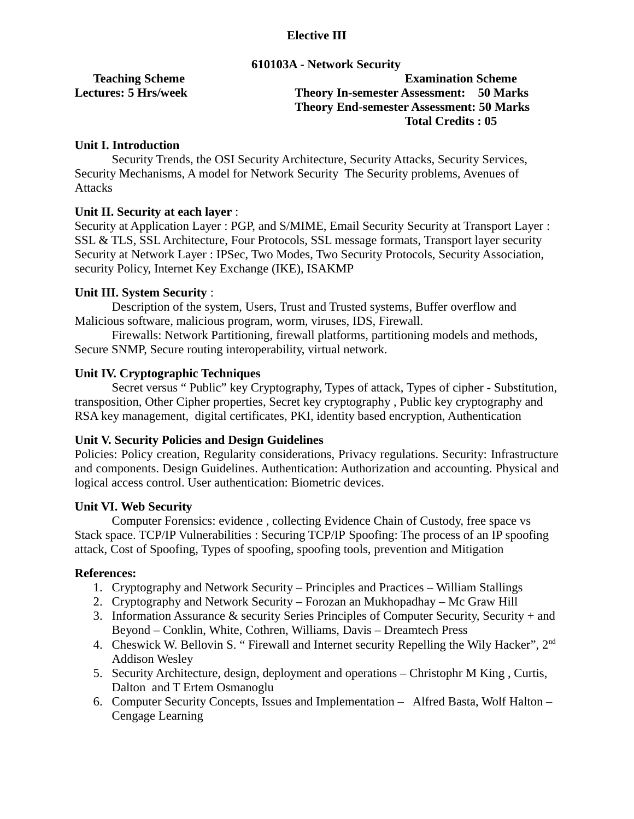## **Elective III**

#### **610103A - Network Security**

**Teaching Scheme Examination Scheme Lectures: 5 Hrs/week Theory In-semester Assessment: 50 Marks Theory End-semester Assessment: 50 Marks Total Credits : 05**

## **Unit I. Introduction**

Security Trends, the OSI Security Architecture, Security Attacks, Security Services, Security Mechanisms, A model for Network Security The Security problems, Avenues of **Attacks** 

## **Unit II. Security at each layer** :

Security at Application Layer : PGP, and S/MIME, Email Security Security at Transport Layer : SSL & TLS, SSL Architecture, Four Protocols, SSL message formats, Transport layer security Security at Network Layer : IPSec, Two Modes, Two Security Protocols, Security Association, security Policy, Internet Key Exchange (IKE), ISAKMP

## **Unit III. System Security** :

Description of the system, Users, Trust and Trusted systems, Buffer overflow and Malicious software, malicious program, worm, viruses, IDS, Firewall.

Firewalls: Network Partitioning, firewall platforms, partitioning models and methods, Secure SNMP, Secure routing interoperability, virtual network.

## **Unit IV. Cryptographic Techniques**

Secret versus " Public" key Cryptography, Types of attack, Types of cipher - Substitution, transposition, Other Cipher properties, Secret key cryptography , Public key cryptography and RSA key management, digital certificates, PKI, identity based encryption, Authentication

## **Unit V. Security Policies and Design Guidelines**

Policies: Policy creation, Regularity considerations, Privacy regulations. Security: Infrastructure and components. Design Guidelines. Authentication: Authorization and accounting. Physical and logical access control. User authentication: Biometric devices.

## **Unit VI. Web Security**

Computer Forensics: evidence , collecting Evidence Chain of Custody, free space vs Stack space. TCP/IP Vulnerabilities : Securing TCP/IP Spoofing: The process of an IP spoofing attack, Cost of Spoofing, Types of spoofing, spoofing tools, prevention and Mitigation

## **References:**

- 1. Cryptography and Network Security Principles and Practices William Stallings
- 2. Cryptography and Network Security Forozan an Mukhopadhay Mc Graw Hill
- 3. Information Assurance & security Series Principles of Computer Security, Security + and Beyond – Conklin, White, Cothren, Williams, Davis – Dreamtech Press
- 4. Cheswick W. Bellovin S. " Firewall and Internet security Repelling the Wily Hacker", 2<sup>nd</sup> Addison Wesley
- 5. Security Architecture, design, deployment and operations Christophr M King , Curtis, Dalton and T Ertem Osmanoglu
- 6. Computer Security Concepts, Issues and Implementation Alfred Basta, Wolf Halton Cengage Learning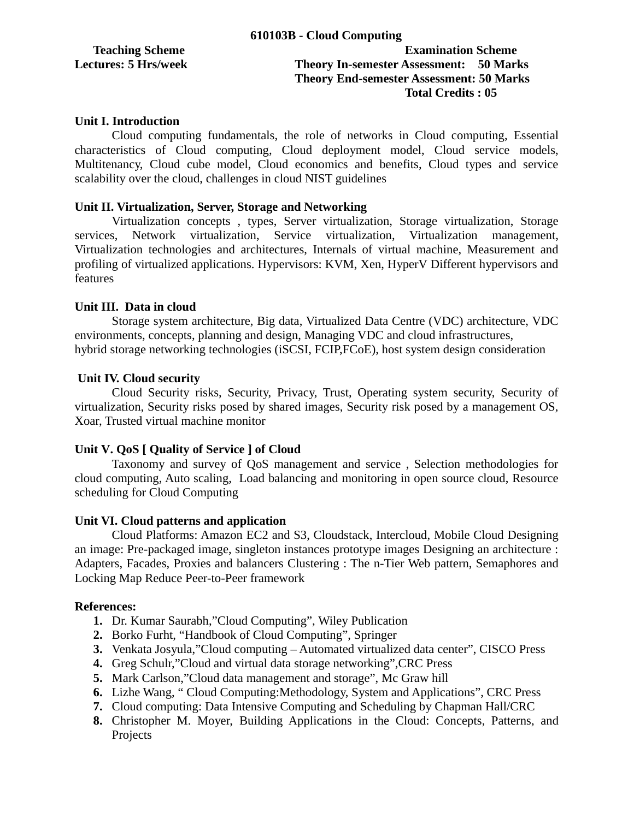## **Teaching Scheme Examination Scheme Lectures: 5 Hrs/week Theory In-semester Assessment: 50 Marks Theory End-semester Assessment: 50 Marks Total Credits : 05**

## **Unit I. Introduction**

Cloud computing fundamentals, the role of networks in Cloud computing, Essential characteristics of Cloud computing, Cloud deployment model, Cloud service models, Multitenancy, Cloud cube model, Cloud economics and benefits, Cloud types and service scalability over the cloud, challenges in cloud NIST guidelines

## **Unit II. Virtualization, Server, Storage and Networking**

Virtualization concepts , types, Server virtualization, Storage virtualization, Storage services, Network virtualization, Service virtualization, Virtualization management, Virtualization technologies and architectures, Internals of virtual machine, Measurement and profiling of virtualized applications. Hypervisors: KVM, Xen, HyperV Different hypervisors and features

## **Unit III. Data in cloud**

Storage system architecture, Big data, Virtualized Data Centre (VDC) architecture, VDC environments, concepts, planning and design, Managing VDC and cloud infrastructures, hybrid storage networking technologies (iSCSI, FCIP,FCoE), host system design consideration

## **Unit IV. Cloud security**

Cloud Security risks, Security, Privacy, Trust, Operating system security, Security of virtualization, Security risks posed by shared images, Security risk posed by a management OS, Xoar, Trusted virtual machine monitor

## **Unit V. QoS [ Quality of Service ] of Cloud**

Taxonomy and survey of QoS management and service , Selection methodologies for cloud computing, Auto scaling, Load balancing and monitoring in open source cloud, Resource scheduling for Cloud Computing

## **Unit VI. Cloud patterns and application**

Cloud Platforms: Amazon EC2 and S3, Cloudstack, Intercloud, Mobile Cloud Designing an image: Pre-packaged image, singleton instances prototype images Designing an architecture : Adapters, Facades, Proxies and balancers Clustering : The n-Tier Web pattern, Semaphores and Locking Map Reduce Peer-to-Peer framework

## **References:**

- **1.** Dr. Kumar Saurabh,"Cloud Computing", Wiley Publication
- **2.** Borko Furht, "Handbook of Cloud Computing", Springer
- **3.** Venkata Josyula,"Cloud computing Automated virtualized data center", CISCO Press
- **4.** Greg Schulr,"Cloud and virtual data storage networking",CRC Press
- **5.** Mark Carlson,"Cloud data management and storage", Mc Graw hill
- **6.** Lizhe Wang, " Cloud Computing:Methodology, System and Applications", CRC Press
- **7.** Cloud computing: Data Intensive Computing and Scheduling by Chapman Hall/CRC
- **8.** Christopher M. Moyer, Building Applications in the Cloud: Concepts, Patterns, and Projects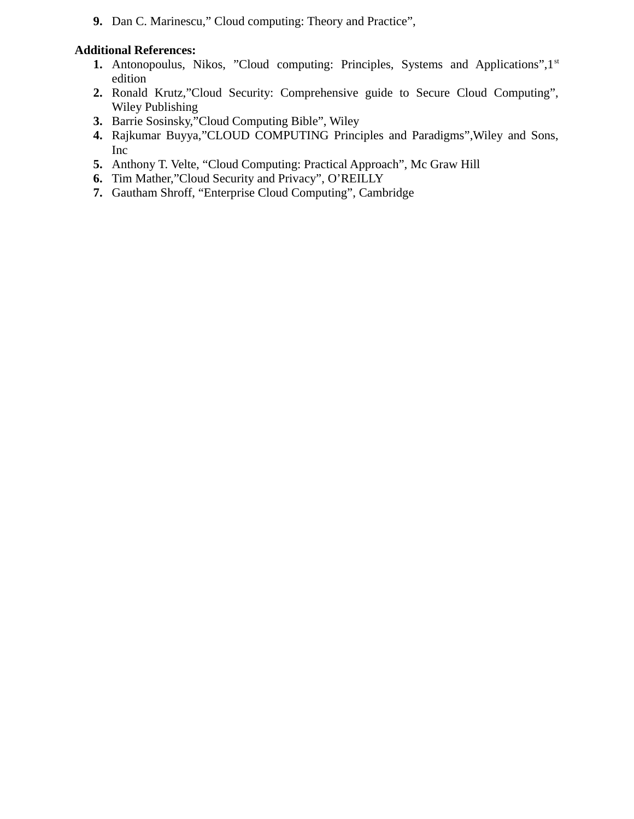**9.** Dan C. Marinescu," Cloud computing: Theory and Practice",

## **Additional References:**

- **1.** Antonopoulus, Nikos, "Cloud computing: Principles, Systems and Applications",1<sup>st</sup> edition
- **2.** Ronald Krutz,"Cloud Security: Comprehensive guide to Secure Cloud Computing", Wiley Publishing
- **3.** Barrie Sosinsky,"Cloud Computing Bible", Wiley
- **4.** Rajkumar Buyya,"CLOUD COMPUTING Principles and Paradigms",Wiley and Sons, Inc
- **5.** Anthony T. Velte, "Cloud Computing: Practical Approach", Mc Graw Hill
- **6.** Tim Mather,"Cloud Security and Privacy", O'REILLY
- **7.** Gautham Shroff, "Enterprise Cloud Computing", Cambridge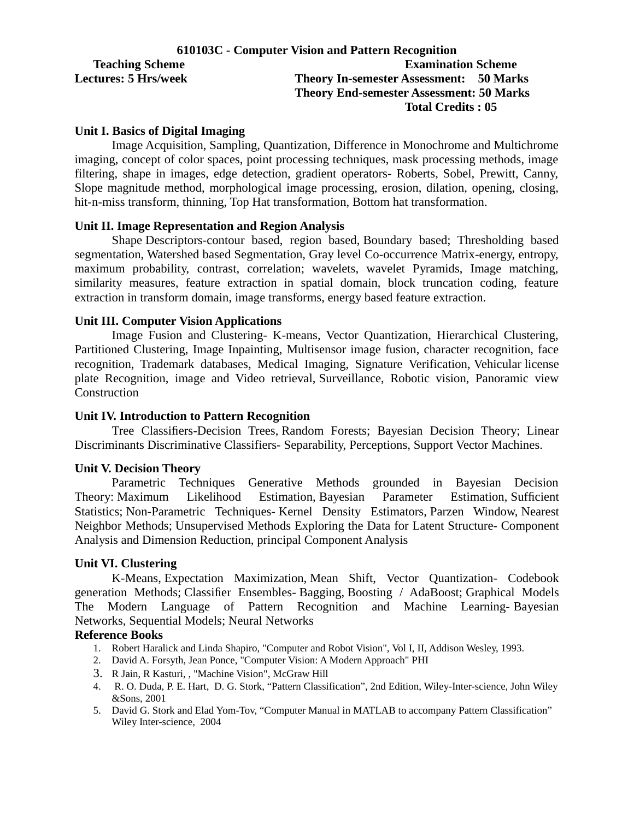|                             | 610103C - Computer Vision and Pattern Recognition |
|-----------------------------|---------------------------------------------------|
| <b>Teaching Scheme</b>      | <b>Examination Scheme</b>                         |
| <b>Lectures: 5 Hrs/week</b> | <b>Theory In-semester Assessment: 50 Marks</b>    |
|                             | <b>Theory End-semester Assessment: 50 Marks</b>   |
|                             | <b>Total Credits: 05</b>                          |

#### **Unit I. Basics of Digital Imaging**

Image Acquisition, Sampling, Quantization, Difference in Monochrome and Multichrome imaging, concept of color spaces, point processing techniques, mask processing methods, image filtering, shape in images, edge detection, gradient operators- Roberts, Sobel, Prewitt, Canny, Slope magnitude method, morphological image processing, erosion, dilation, opening, closing, hit-n-miss transform, thinning, Top Hat transformation, Bottom hat transformation.

#### **Unit II. Image Representation and Region Analysis**

Shape Descriptors-contour based, region based, Boundary based; Thresholding based segmentation, Watershed based Segmentation, Gray level Co-occurrence Matrix-energy, entropy, maximum probability, contrast, correlation; wavelets, wavelet Pyramids, Image matching, similarity measures, feature extraction in spatial domain, block truncation coding, feature extraction in transform domain, image transforms, energy based feature extraction.

#### **Unit III. Computer Vision Applications**

Image Fusion and Clustering- K-means, Vector Quantization, Hierarchical Clustering, Partitioned Clustering, Image Inpainting, Multisensor image fusion, character recognition, face recognition, Trademark databases, Medical Imaging, Signature Verification, Vehicular license plate Recognition, image and Video retrieval, Surveillance, Robotic vision, Panoramic view Construction

#### **Unit IV. Introduction to Pattern Recognition**

Tree Classifiers-Decision Trees, Random Forests; Bayesian Decision Theory; Linear Discriminants Discriminative Classifiers- Separability, Perceptions, Support Vector Machines.

#### **Unit V. Decision Theory**

Parametric Techniques Generative Methods grounded in Bayesian Decision Theory: Maximum Likelihood Estimation, Bayesian Parameter Estimation, Sufficient Statistics; Non-Parametric Techniques- Kernel Density Estimators, Parzen Window, Nearest Neighbor Methods; Unsupervised Methods Exploring the Data for Latent Structure- Component Analysis and Dimension Reduction, principal Component Analysis

#### **Unit VI. Clustering**

K-Means, Expectation Maximization, Mean Shift, Vector Quantization- Codebook generation Methods; Classifier Ensembles- Bagging, Boosting / AdaBoost; Graphical Models The Modern Language of Pattern Recognition and Machine Learning- Bayesian Networks, Sequential Models; Neural Networks

#### **Reference Books**

- 1. Robert Haralick and Linda Shapiro, "Computer and Robot Vision", Vol I, II, Addison Wesley, 1993.
- 2. David A. Forsyth, Jean Ponce, "Computer Vision: A Modern Approach" PHI
- 3. R Jain, R Kasturi, , "Machine Vision"*,* McGraw Hill
- 4. R. O. Duda, P. E. Hart, D. G. Stork, "Pattern Classification", 2nd Edition, Wiley-Inter-science, John Wiley &Sons, 2001
- 5. David G. Stork and Elad Yom-Tov, "Computer Manual in MATLAB to accompany Pattern Classification" Wiley Inter-science, 2004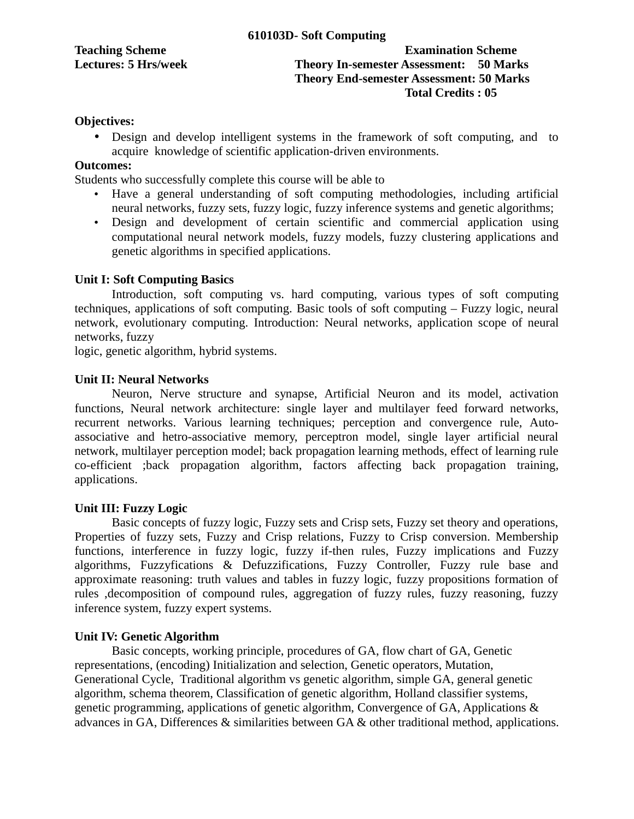| <b>Teaching Scheme</b>      |  |
|-----------------------------|--|
| <b>Lectures: 5 Hrs/week</b> |  |

## **Examination Scheme Theory In-semester Assessment: 50 Marks Theory End-semester Assessment: 50 Marks Total Credits : 05**

## **Objectives:**

• Design and develop intelligent systems in the framework of soft computing, and to acquire knowledge of scientific application-driven environments.

## **Outcomes:**

Students who successfully complete this course will be able to

- Have a general understanding of soft computing methodologies, including artificial neural networks, fuzzy sets, fuzzy logic, fuzzy inference systems and genetic algorithms;
- Design and development of certain scientific and commercial application using computational neural network models, fuzzy models, fuzzy clustering applications and genetic algorithms in specified applications.

## **Unit I: Soft Computing Basics**

Introduction, soft computing vs. hard computing, various types of soft computing techniques, applications of soft computing. Basic tools of soft computing – Fuzzy logic, neural network, evolutionary computing. Introduction: Neural networks, application scope of neural networks, fuzzy

logic, genetic algorithm, hybrid systems.

#### **Unit II: Neural Networks**

Neuron, Nerve structure and synapse, Artificial Neuron and its model, activation functions, Neural network architecture: single layer and multilayer feed forward networks, recurrent networks. Various learning techniques; perception and convergence rule, Autoassociative and hetro-associative memory, perceptron model, single layer artificial neural network, multilayer perception model; back propagation learning methods, effect of learning rule co-efficient ;back propagation algorithm, factors affecting back propagation training, applications.

## **Unit III: Fuzzy Logic**

Basic concepts of fuzzy logic, Fuzzy sets and Crisp sets, Fuzzy set theory and operations, Properties of fuzzy sets, Fuzzy and Crisp relations, Fuzzy to Crisp conversion. Membership functions, interference in fuzzy logic, fuzzy if-then rules, Fuzzy implications and Fuzzy algorithms, Fuzzyfications & Defuzzifications, Fuzzy Controller, Fuzzy rule base and approximate reasoning: truth values and tables in fuzzy logic, fuzzy propositions formation of rules ,decomposition of compound rules, aggregation of fuzzy rules, fuzzy reasoning, fuzzy inference system, fuzzy expert systems.

## **Unit IV: Genetic Algorithm**

Basic concepts, working principle, procedures of GA, flow chart of GA, Genetic representations, (encoding) Initialization and selection, Genetic operators, Mutation, Generational Cycle, Traditional algorithm vs genetic algorithm, simple GA, general genetic algorithm, schema theorem, Classification of genetic algorithm, Holland classifier systems, genetic programming, applications of genetic algorithm, Convergence of GA, Applications & advances in GA, Differences & similarities between GA & other traditional method, applications.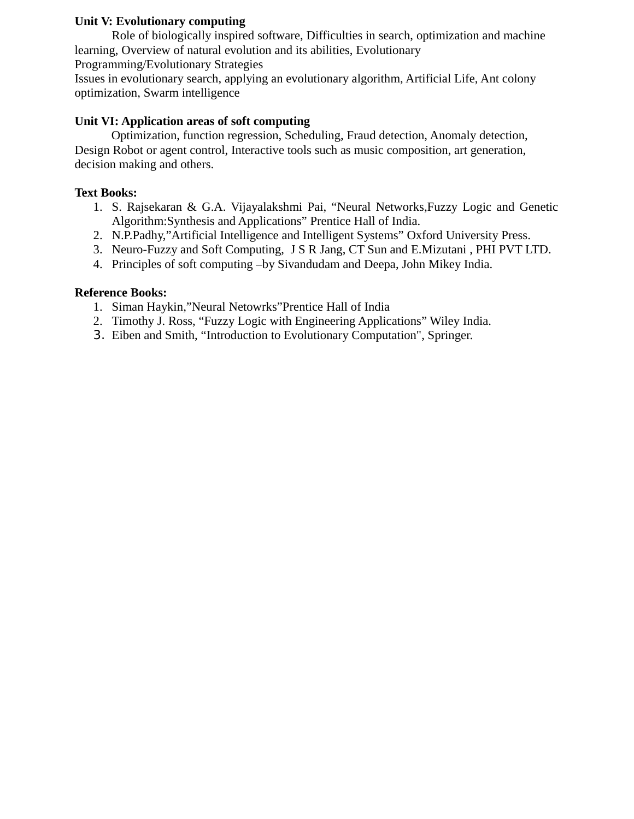## **Unit V: Evolutionary computing**

Role of biologically inspired software, Difficulties in search, optimization and machine learning, Overview of natural evolution and its abilities, Evolutionary Programming/Evolutionary Strategies

Issues in evolutionary search, applying an evolutionary algorithm, Artificial Life, Ant colony optimization, Swarm intelligence

## **Unit VI: Application areas of soft computing**

Optimization, function regression, Scheduling, Fraud detection, Anomaly detection, Design Robot or agent control, Interactive tools such as music composition, art generation, decision making and others.

#### **Text Books:**

- 1. S. Rajsekaran & G.A. Vijayalakshmi Pai, "Neural Networks,Fuzzy Logic and Genetic Algorithm:Synthesis and Applications" Prentice Hall of India.
- 2. N.P.Padhy,"Artificial Intelligence and Intelligent Systems" Oxford University Press.
- 3. Neuro-Fuzzy and Soft Computing, J S R Jang, CT Sun and E.Mizutani , PHI PVT LTD.
- 4. Principles of soft computing –by Sivandudam and Deepa, John Mikey India.

## **Reference Books:**

- 1. Siman Haykin,"Neural Netowrks"Prentice Hall of India
- 2. Timothy J. Ross, "Fuzzy Logic with Engineering Applications" Wiley India.
- 3. Eiben and Smith, "Introduction to Evolutionary Computation", Springer.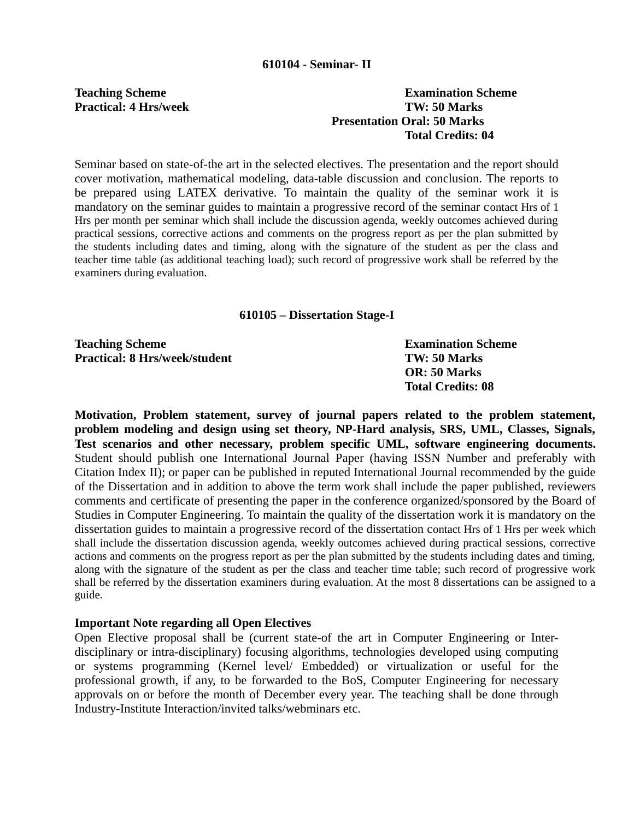## **Teaching Scheme Examination Scheme Practical: 4 Hrs/week TW: 50 Marks Presentation Oral: 50 Marks Total Credits: 04**

Seminar based on state-of-the art in the selected electives. The presentation and the report should cover motivation, mathematical modeling, data-table discussion and conclusion. The reports to be prepared using LATEX derivative. To maintain the quality of the seminar work it is mandatory on the seminar guides to maintain a progressive record of the seminar contact Hrs of 1 Hrs per month per seminar which shall include the discussion agenda, weekly outcomes achieved during practical sessions, corrective actions and comments on the progress report as per the plan submitted by the students including dates and timing, along with the signature of the student as per the class and teacher time table (as additional teaching load); such record of progressive work shall be referred by the examiners during evaluation.

## **610105 – Dissertation Stage-I**

| <b>Teaching Scheme</b>               | <b>Examination Scheme</b> |
|--------------------------------------|---------------------------|
| <b>Practical: 8 Hrs/week/student</b> | TW: 50 Marks              |
|                                      | <b>OR:</b> 50 Marks       |
|                                      | <b>Total Credits: 08</b>  |

**Motivation, Problem statement, survey of journal papers related to the problem statement, problem modeling and design using set theory, NP-Hard analysis, SRS, UML, Classes, Signals, Test scenarios and other necessary, problem specific UML, software engineering documents.** Student should publish one International Journal Paper (having ISSN Number and preferably with Citation Index II); or paper can be published in reputed International Journal recommended by the guide of the Dissertation and in addition to above the term work shall include the paper published, reviewers comments and certificate of presenting the paper in the conference organized/sponsored by the Board of Studies in Computer Engineering. To maintain the quality of the dissertation work it is mandatory on the dissertation guides to maintain a progressive record of the dissertation contact Hrs of 1 Hrs per week which shall include the dissertation discussion agenda, weekly outcomes achieved during practical sessions, corrective actions and comments on the progress report as per the plan submitted by the students including dates and timing, along with the signature of the student as per the class and teacher time table; such record of progressive work shall be referred by the dissertation examiners during evaluation. At the most 8 dissertations can be assigned to a guide.

## **Important Note regarding all Open Electives**

Open Elective proposal shall be (current state-of the art in Computer Engineering or Interdisciplinary or intra-disciplinary) focusing algorithms, technologies developed using computing or systems programming (Kernel level/ Embedded) or virtualization or useful for the professional growth, if any, to be forwarded to the BoS, Computer Engineering for necessary approvals on or before the month of December every year. The teaching shall be done through Industry-Institute Interaction/invited talks/webminars etc.